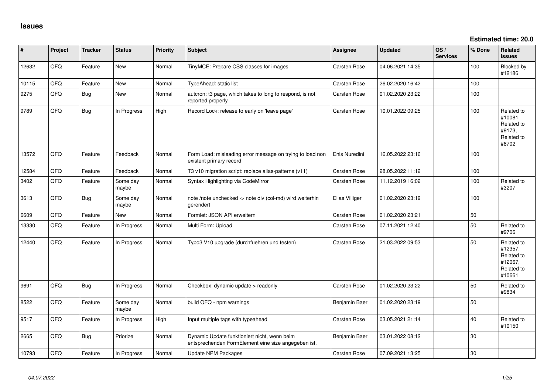**Estimated time: 20.0**

| #     | Project | <b>Tracker</b> | <b>Status</b>     | <b>Priority</b> | <b>Subject</b>                                                                                      | Assignee            | <b>Updated</b>   | OS/<br><b>Services</b> | % Done | Related<br><b>issues</b>                                               |
|-------|---------|----------------|-------------------|-----------------|-----------------------------------------------------------------------------------------------------|---------------------|------------------|------------------------|--------|------------------------------------------------------------------------|
| 12632 | QFQ     | Feature        | New               | Normal          | TinyMCE: Prepare CSS classes for images                                                             | Carsten Rose        | 04.06.2021 14:35 |                        | 100    | Blocked by<br>#12186                                                   |
| 10115 | QFQ     | Feature        | New               | Normal          | TypeAhead: static list                                                                              | <b>Carsten Rose</b> | 26.02.2020 16:42 |                        | 100    |                                                                        |
| 9275  | QFQ     | Bug            | <b>New</b>        | Normal          | autcron: t3 page, which takes to long to respond, is not<br>reported properly                       | <b>Carsten Rose</b> | 01.02.2020 23:22 |                        | 100    |                                                                        |
| 9789  | QFQ     | <b>Bug</b>     | In Progress       | High            | Record Lock: release to early on 'leave page'                                                       | Carsten Rose        | 10.01.2022 09:25 |                        | 100    | Related to<br>#10081,<br>Related to<br>#9173,<br>Related to<br>#8702   |
| 13572 | QFQ     | Feature        | Feedback          | Normal          | Form Load: misleading error message on trying to load non<br>existent primary record                | Enis Nuredini       | 16.05.2022 23:16 |                        | 100    |                                                                        |
| 12584 | QFQ     | Feature        | Feedback          | Normal          | T3 v10 migration script: replace alias-patterns (v11)                                               | Carsten Rose        | 28.05.2022 11:12 |                        | 100    |                                                                        |
| 3402  | QFQ     | Feature        | Some day<br>maybe | Normal          | Syntax Highlighting via CodeMirror                                                                  | <b>Carsten Rose</b> | 11.12.2019 16:02 |                        | 100    | Related to<br>#3207                                                    |
| 3613  | QFQ     | <b>Bug</b>     | Some day<br>maybe | Normal          | note /note unchecked -> note div (col-md) wird weiterhin<br>gerendert                               | Elias Villiger      | 01.02.2020 23:19 |                        | 100    |                                                                        |
| 6609  | QFQ     | Feature        | <b>New</b>        | Normal          | Formlet: JSON API erweitern                                                                         | Carsten Rose        | 01.02.2020 23:21 |                        | 50     |                                                                        |
| 13330 | QFQ     | Feature        | In Progress       | Normal          | Multi Form: Upload                                                                                  | <b>Carsten Rose</b> | 07.11.2021 12:40 |                        | 50     | Related to<br>#9706                                                    |
| 12440 | QFQ     | Feature        | In Progress       | Normal          | Typo3 V10 upgrade (durchfuehren und testen)                                                         | Carsten Rose        | 21.03.2022 09:53 |                        | 50     | Related to<br>#12357,<br>Related to<br>#12067,<br>Related to<br>#10661 |
| 9691  | QFQ     | Bug            | In Progress       | Normal          | Checkbox: dynamic update > readonly                                                                 | Carsten Rose        | 01.02.2020 23:22 |                        | 50     | Related to<br>#9834                                                    |
| 8522  | QFQ     | Feature        | Some day<br>maybe | Normal          | build QFQ - npm warnings                                                                            | Benjamin Baer       | 01.02.2020 23:19 |                        | 50     |                                                                        |
| 9517  | QFQ     | Feature        | In Progress       | High            | Input multiple tags with typeahead                                                                  | Carsten Rose        | 03.05.2021 21:14 |                        | 40     | Related to<br>#10150                                                   |
| 2665  | QFQ     | <b>Bug</b>     | Priorize          | Normal          | Dynamic Update funktioniert nicht, wenn beim<br>entsprechenden FormElement eine size angegeben ist. | Benjamin Baer       | 03.01.2022 08:12 |                        | 30     |                                                                        |
| 10793 | QFQ     | Feature        | In Progress       | Normal          | <b>Update NPM Packages</b>                                                                          | <b>Carsten Rose</b> | 07.09.2021 13:25 |                        | 30     |                                                                        |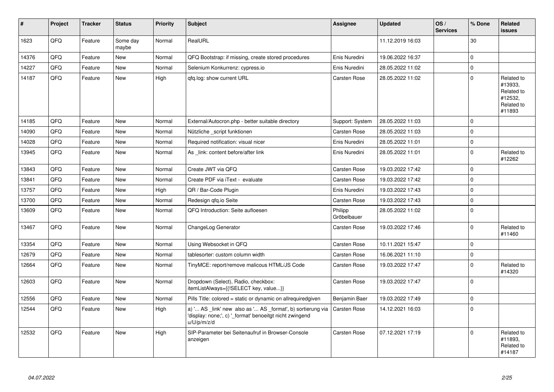| ∦     | Project | <b>Tracker</b> | <b>Status</b>     | <b>Priority</b> | Subject                                                                                                                               | <b>Assignee</b>        | Updated          | OS/<br><b>Services</b> | % Done      | Related<br><b>issues</b>                                               |
|-------|---------|----------------|-------------------|-----------------|---------------------------------------------------------------------------------------------------------------------------------------|------------------------|------------------|------------------------|-------------|------------------------------------------------------------------------|
| 1623  | QFQ     | Feature        | Some day<br>maybe | Normal          | RealURL                                                                                                                               |                        | 11.12.2019 16:03 |                        | 30          |                                                                        |
| 14376 | QFQ     | Feature        | <b>New</b>        | Normal          | QFQ Bootstrap: if missing, create stored procedures                                                                                   | Enis Nuredini          | 19.06.2022 16:37 |                        | $\mathbf 0$ |                                                                        |
| 14227 | QFQ     | Feature        | <b>New</b>        | Normal          | Selenium Konkurrenz: cypress.io                                                                                                       | Enis Nuredini          | 28.05.2022 11:02 |                        | $\mathbf 0$ |                                                                        |
| 14187 | QFQ     | Feature        | <b>New</b>        | High            | gfg.log: show current URL                                                                                                             | Carsten Rose           | 28.05.2022 11:02 |                        | $\mathbf 0$ | Related to<br>#13933,<br>Related to<br>#12532,<br>Related to<br>#11893 |
| 14185 | QFQ     | Feature        | <b>New</b>        | Normal          | External/Autocron.php - better suitable directory                                                                                     | Support: System        | 28.05.2022 11:03 |                        | $\mathbf 0$ |                                                                        |
| 14090 | QFQ     | Feature        | New               | Normal          | Nützliche _script funktionen                                                                                                          | Carsten Rose           | 28.05.2022 11:03 |                        | $\mathbf 0$ |                                                                        |
| 14028 | QFQ     | Feature        | New               | Normal          | Required notification: visual nicer                                                                                                   | Enis Nuredini          | 28.05.2022 11:01 |                        | $\mathbf 0$ |                                                                        |
| 13945 | QFQ     | Feature        | New               | Normal          | As link: content before/after link                                                                                                    | Enis Nuredini          | 28.05.2022 11:01 |                        | $\mathbf 0$ | Related to<br>#12262                                                   |
| 13843 | QFQ     | Feature        | New               | Normal          | Create JWT via QFQ                                                                                                                    | <b>Carsten Rose</b>    | 19.03.2022 17:42 |                        | $\mathbf 0$ |                                                                        |
| 13841 | QFQ     | Feature        | New               | Normal          | Create PDF via iText - evaluate                                                                                                       | <b>Carsten Rose</b>    | 19.03.2022 17:42 |                        | $\mathbf 0$ |                                                                        |
| 13757 | QFQ     | Feature        | <b>New</b>        | High            | QR / Bar-Code Plugin                                                                                                                  | Enis Nuredini          | 19.03.2022 17:43 |                        | $\mathbf 0$ |                                                                        |
| 13700 | QFQ     | Feature        | <b>New</b>        | Normal          | Redesign gfg.io Seite                                                                                                                 | <b>Carsten Rose</b>    | 19.03.2022 17:43 |                        | $\mathbf 0$ |                                                                        |
| 13609 | QFQ     | Feature        | New               | Normal          | QFQ Introduction: Seite aufloesen                                                                                                     | Philipp<br>Gröbelbauer | 28.05.2022 11:02 |                        | $\Omega$    |                                                                        |
| 13467 | QFQ     | Feature        | <b>New</b>        | Normal          | ChangeLog Generator                                                                                                                   | <b>Carsten Rose</b>    | 19.03.2022 17:46 |                        | $\Omega$    | Related to<br>#11460                                                   |
| 13354 | QFQ     | Feature        | <b>New</b>        | Normal          | Using Websocket in QFQ                                                                                                                | <b>Carsten Rose</b>    | 10.11.2021 15:47 |                        | $\mathbf 0$ |                                                                        |
| 12679 | QFQ     | Feature        | <b>New</b>        | Normal          | tablesorter: custom column width                                                                                                      | <b>Carsten Rose</b>    | 16.06.2021 11:10 |                        | $\mathbf 0$ |                                                                        |
| 12664 | QFQ     | Feature        | <b>New</b>        | Normal          | TinyMCE: report/remove malicous HTML/JS Code                                                                                          | Carsten Rose           | 19.03.2022 17:47 |                        | $\Omega$    | Related to<br>#14320                                                   |
| 12603 | QFQ     | Feature        | <b>New</b>        | Normal          | Dropdown (Select), Radio, checkbox:<br>itemListAlways={{!SELECT key, value}}                                                          | <b>Carsten Rose</b>    | 19.03.2022 17:47 |                        | $\Omega$    |                                                                        |
| 12556 | QFQ     | Feature        | <b>New</b>        | Normal          | Pills Title: colored = static or dynamic on allrequiredgiven                                                                          | Benjamin Baer          | 19.03.2022 17:49 |                        | $\mathbf 0$ |                                                                        |
| 12544 | QFQ     | Feature        | <b>New</b>        | High            | a) ' AS _link' new also as ' AS _format', b) sortierung via<br>'display: none;', c) '_format' benoeitgt nicht zwingend<br>u/U/p/m/z/d | <b>Carsten Rose</b>    | 14.12.2021 16:03 |                        | $\Omega$    |                                                                        |
| 12532 | QFQ     | Feature        | <b>New</b>        | High            | SIP-Parameter bei Seitenaufruf in Browser-Console<br>anzeigen                                                                         | Carsten Rose           | 07.12.2021 17:19 |                        | $\Omega$    | Related to<br>#11893.<br>Related to<br>#14187                          |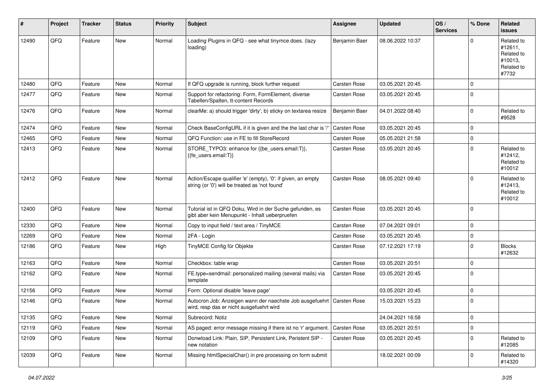| #     | Project | <b>Tracker</b> | <b>Status</b> | <b>Priority</b> | <b>Subject</b>                                                                                                 | Assignee            | <b>Updated</b>   | OS/<br><b>Services</b> | % Done      | Related<br>issues                                                     |
|-------|---------|----------------|---------------|-----------------|----------------------------------------------------------------------------------------------------------------|---------------------|------------------|------------------------|-------------|-----------------------------------------------------------------------|
| 12490 | QFQ     | Feature        | <b>New</b>    | Normal          | Loading Plugins in QFQ - see what tinymce does. (lazy<br>loading)                                              | Benjamin Baer       | 08.06.2022 10:37 |                        | $\Omega$    | Related to<br>#12611.<br>Related to<br>#10013,<br>Related to<br>#7732 |
| 12480 | QFQ     | Feature        | <b>New</b>    | Normal          | If QFQ upgrade is running, block further request                                                               | <b>Carsten Rose</b> | 03.05.2021 20:45 |                        | $\mathbf 0$ |                                                                       |
| 12477 | QFQ     | Feature        | New           | Normal          | Support for refactoring: Form, FormElement, diverse<br>Tabellen/Spalten, tt-content Records                    | <b>Carsten Rose</b> | 03.05.2021 20:45 |                        | $\mathbf 0$ |                                                                       |
| 12476 | QFQ     | Feature        | <b>New</b>    | Normal          | clearMe: a) should trigger 'dirty', b) sticky on textarea resize                                               | Benjamin Baer       | 04.01.2022 08:40 |                        | $\mathbf 0$ | Related to<br>#9528                                                   |
| 12474 | QFQ     | Feature        | <b>New</b>    | Normal          | Check BaseConfigURL if it is given and the the last char is '/'                                                | Carsten Rose        | 03.05.2021 20:45 |                        | $\mathbf 0$ |                                                                       |
| 12465 | QFQ     | Feature        | New           | Normal          | QFQ Function: use in FE to fill StoreRecord                                                                    | Carsten Rose        | 05.05.2021 21:58 |                        | 0           |                                                                       |
| 12413 | QFQ     | Feature        | New           | Normal          | STORE_TYPO3: enhance for {{be_users.email:T}},<br>{{fe_users.email:T}}                                         | Carsten Rose        | 03.05.2021 20:45 |                        | $\mathbf 0$ | Related to<br>#12412,<br>Related to<br>#10012                         |
| 12412 | QFQ     | Feature        | <b>New</b>    | Normal          | Action/Escape qualifier 'e' (empty), '0': if given, an empty<br>string (or '0') will be treated as 'not found' | Carsten Rose        | 08.05.2021 09:40 |                        | $\Omega$    | Related to<br>#12413,<br>Related to<br>#10012                         |
| 12400 | QFQ     | Feature        | New           | Normal          | Tutorial ist in QFQ Doku, Wird in der Suche gefunden, es<br>gibt aber kein Menupunkt - Inhalt ueberpruefen     | Carsten Rose        | 03.05.2021 20:45 |                        | $\Omega$    |                                                                       |
| 12330 | QFQ     | Feature        | New           | Normal          | Copy to input field / text area / TinyMCE                                                                      | Carsten Rose        | 07.04.2021 09:01 |                        | $\mathbf 0$ |                                                                       |
| 12269 | QFQ     | Feature        | New           | Normal          | 2FA - Login                                                                                                    | <b>Carsten Rose</b> | 03.05.2021 20:45 |                        | $\mathbf 0$ |                                                                       |
| 12186 | QFQ     | Feature        | New           | High            | TinyMCE Config für Objekte                                                                                     | <b>Carsten Rose</b> | 07.12.2021 17:19 |                        | $\mathbf 0$ | <b>Blocks</b><br>#12632                                               |
| 12163 | QFQ     | Feature        | <b>New</b>    | Normal          | Checkbox: table wrap                                                                                           | Carsten Rose        | 03.05.2021 20:51 |                        | 0           |                                                                       |
| 12162 | QFQ     | Feature        | <b>New</b>    | Normal          | FE.type=sendmail: personalized mailing (several mails) via<br>template                                         | Carsten Rose        | 03.05.2021 20:45 |                        | $\Omega$    |                                                                       |
| 12156 | QFQ     | Feature        | <b>New</b>    | Normal          | Form: Optional disable 'leave page'                                                                            |                     | 03.05.2021 20:45 |                        | 0           |                                                                       |
| 12146 | QFQ     | Feature        | <b>New</b>    | Normal          | Autocron Job: Anzeigen wann der naechste Job ausgefuehrt<br>wird, resp das er nicht ausgefuehrt wird           | <b>Carsten Rose</b> | 15.03.2021 15:23 |                        | $\mathbf 0$ |                                                                       |
| 12135 | QFQ     | Feature        | New           | Normal          | Subrecord: Notiz                                                                                               |                     | 24.04.2021 16:58 |                        | $\mathsf 0$ |                                                                       |
| 12119 | QFQ     | Feature        | New           | Normal          | AS paged: error message missing if there ist no 'r' argument.                                                  | <b>Carsten Rose</b> | 03.05.2021 20:51 |                        | 0           |                                                                       |
| 12109 | QFQ     | Feature        | New           | Normal          | Donwload Link: Plain, SIP, Persistent Link, Peristent SIP -<br>new notation                                    | Carsten Rose        | 03.05.2021 20:45 |                        | $\mathbf 0$ | Related to<br>#12085                                                  |
| 12039 | QFQ     | Feature        | New           | Normal          | Missing htmlSpecialChar() in pre processing on form submit                                                     |                     | 18.02.2021 00:09 |                        | 0           | Related to<br>#14320                                                  |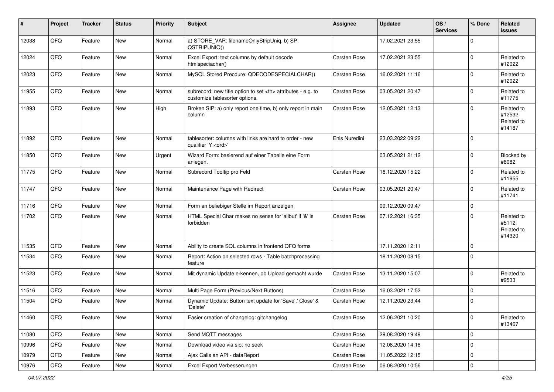| #     | Project | <b>Tracker</b> | <b>Status</b> | <b>Priority</b> | Subject                                                                                              | <b>Assignee</b>                                        | <b>Updated</b>      | OS/<br><b>Services</b> | % Done      | Related<br><b>issues</b>                      |                      |
|-------|---------|----------------|---------------|-----------------|------------------------------------------------------------------------------------------------------|--------------------------------------------------------|---------------------|------------------------|-------------|-----------------------------------------------|----------------------|
| 12038 | QFQ     | Feature        | New           | Normal          | a) STORE_VAR: filenameOnlyStripUniq, b) SP:<br>QSTRIPUNIQ()                                          |                                                        | 17.02.2021 23:55    |                        | $\mathbf 0$ |                                               |                      |
| 12024 | QFQ     | Feature        | New           | Normal          | Excel Export: text columns by default decode<br>htmlspeciachar()                                     | <b>Carsten Rose</b>                                    | 17.02.2021 23:55    |                        | $\Omega$    | Related to<br>#12022                          |                      |
| 12023 | QFQ     | Feature        | <b>New</b>    | Normal          | MySQL Stored Precdure: QDECODESPECIALCHAR()                                                          | <b>Carsten Rose</b>                                    | 16.02.2021 11:16    |                        | $\Omega$    | Related to<br>#12022                          |                      |
| 11955 | QFQ     | Feature        | New           | Normal          | subrecord: new title option to set <th> attributes - e.g. to<br/>customize tablesorter options.</th> | attributes - e.g. to<br>customize tablesorter options. | <b>Carsten Rose</b> | 03.05.2021 20:47       |             | $\mathbf 0$                                   | Related to<br>#11775 |
| 11893 | QFQ     | Feature        | <b>New</b>    | High            | Broken SIP: a) only report one time, b) only report in main<br>column                                | Carsten Rose                                           | 12.05.2021 12:13    |                        | $\mathbf 0$ | Related to<br>#12532,<br>Related to<br>#14187 |                      |
| 11892 | QFQ     | Feature        | New           | Normal          | tablesorter: columns with links are hard to order - new<br>qualifier 'Y: <ord>'</ord>                | Enis Nuredini                                          | 23.03.2022 09:22    |                        | $\mathbf 0$ |                                               |                      |
| 11850 | QFQ     | Feature        | New           | Urgent          | Wizard Form: basierend auf einer Tabelle eine Form<br>anlegen.                                       |                                                        | 03.05.2021 21:12    |                        | $\mathbf 0$ | <b>Blocked by</b><br>#8082                    |                      |
| 11775 | QFQ     | Feature        | <b>New</b>    | Normal          | Subrecord Tooltip pro Feld                                                                           | Carsten Rose                                           | 18.12.2020 15:22    |                        | $\mathbf 0$ | Related to<br>#11955                          |                      |
| 11747 | QFQ     | Feature        | New           | Normal          | Maintenance Page with Redirect                                                                       | <b>Carsten Rose</b>                                    | 03.05.2021 20:47    |                        | $\mathbf 0$ | Related to<br>#11741                          |                      |
| 11716 | QFQ     | Feature        | <b>New</b>    | Normal          | Form an beliebiger Stelle im Report anzeigen                                                         |                                                        | 09.12.2020 09:47    |                        | 0           |                                               |                      |
| 11702 | QFQ     | Feature        | <b>New</b>    | Normal          | HTML Special Char makes no sense for 'allbut' if '&' is<br>forbidden                                 | Carsten Rose                                           | 07.12.2021 16:35    |                        | $\Omega$    | Related to<br>#5112,<br>Related to<br>#14320  |                      |
| 11535 | QFQ     | Feature        | <b>New</b>    | Normal          | Ability to create SQL columns in frontend QFQ forms                                                  |                                                        | 17.11.2020 12:11    |                        | $\mathbf 0$ |                                               |                      |
| 11534 | QFQ     | Feature        | <b>New</b>    | Normal          | Report: Action on selected rows - Table batchprocessing<br>feature                                   |                                                        | 18.11.2020 08:15    |                        | 0           |                                               |                      |
| 11523 | QFQ     | Feature        | New           | Normal          | Mit dynamic Update erkennen, ob Upload gemacht wurde                                                 | Carsten Rose                                           | 13.11.2020 15:07    |                        | $\mathbf 0$ | Related to<br>#9533                           |                      |
| 11516 | QFQ     | Feature        | <b>New</b>    | Normal          | Multi Page Form (Previous/Next Buttons)                                                              | Carsten Rose                                           | 16.03.2021 17:52    |                        | $\mathbf 0$ |                                               |                      |
| 11504 | QFQ     | Feature        | New           | Normal          | Dynamic Update: Button text update for 'Save',' Close' &<br>'Delete'                                 | <b>Carsten Rose</b>                                    | 12.11.2020 23:44    |                        | 0           |                                               |                      |
| 11460 | QFQ     | Feature        | New           | Normal          | Easier creation of changelog: gitchangelog                                                           | <b>Carsten Rose</b>                                    | 12.06.2021 10:20    |                        | 0           | Related to<br>#13467                          |                      |
| 11080 | QFQ     | Feature        | New           | Normal          | Send MQTT messages                                                                                   | Carsten Rose                                           | 29.08.2020 19:49    |                        | $\mathbf 0$ |                                               |                      |
| 10996 | QFQ     | Feature        | New           | Normal          | Download video via sip: no seek                                                                      | Carsten Rose                                           | 12.08.2020 14:18    |                        | $\mathbf 0$ |                                               |                      |
| 10979 | QFQ     | Feature        | New           | Normal          | Ajax Calls an API - dataReport                                                                       | Carsten Rose                                           | 11.05.2022 12:15    |                        | 0           |                                               |                      |
| 10976 | QFQ     | Feature        | New           | Normal          | Excel Export Verbesserungen                                                                          | Carsten Rose                                           | 06.08.2020 10:56    |                        | $\pmb{0}$   |                                               |                      |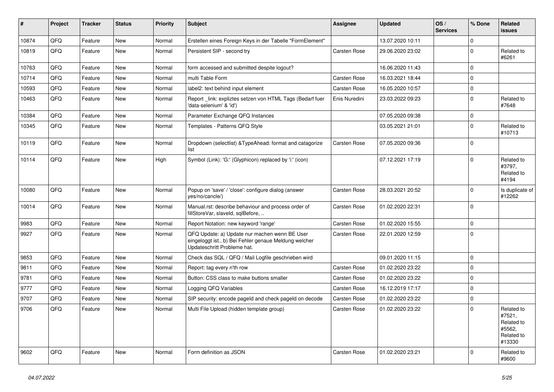| $\vert$ # | Project | <b>Tracker</b> | <b>Status</b> | <b>Priority</b> | <b>Subject</b>                                                                                                                        | Assignee            | <b>Updated</b>   | OS/<br><b>Services</b> | % Done              | Related<br><b>issues</b>                                             |
|-----------|---------|----------------|---------------|-----------------|---------------------------------------------------------------------------------------------------------------------------------------|---------------------|------------------|------------------------|---------------------|----------------------------------------------------------------------|
| 10874     | QFQ     | Feature        | <b>New</b>    | Normal          | Erstellen eines Foreign Keys in der Tabelle "FormElement"                                                                             |                     | 13.07.2020 10:11 |                        | $\mathbf 0$         |                                                                      |
| 10819     | QFQ     | Feature        | <b>New</b>    | Normal          | Persistent SIP - second try                                                                                                           | <b>Carsten Rose</b> | 29.06.2020 23:02 |                        | $\mathbf{0}$        | Related to<br>#6261                                                  |
| 10763     | QFQ     | Feature        | New           | Normal          | form accessed and submitted despite logout?                                                                                           |                     | 16.06.2020 11:43 |                        | $\Omega$            |                                                                      |
| 10714     | QFQ     | Feature        | <b>New</b>    | Normal          | multi Table Form                                                                                                                      | <b>Carsten Rose</b> | 16.03.2021 18:44 |                        | $\Omega$            |                                                                      |
| 10593     | QFQ     | Feature        | New           | Normal          | label2: text behind input element                                                                                                     | <b>Carsten Rose</b> | 16.05.2020 10:57 |                        | $\mathbf 0$         |                                                                      |
| 10463     | QFQ     | Feature        | New           | Normal          | Report_link: expliztes setzen von HTML Tags (Bedarf fuer<br>'data-selenium' & 'id')                                                   | Enis Nuredini       | 23.03.2022 09:23 |                        | $\mathbf 0$         | Related to<br>#7648                                                  |
| 10384     | QFQ     | Feature        | New           | Normal          | Parameter Exchange QFQ Instances                                                                                                      |                     | 07.05.2020 09:38 |                        | $\mathbf 0$         |                                                                      |
| 10345     | QFQ     | Feature        | New           | Normal          | Templates - Patterns QFQ Style                                                                                                        |                     | 03.05.2021 21:01 |                        | $\mathbf 0$         | Related to<br>#10713                                                 |
| 10119     | QFQ     | Feature        | New           | Normal          | Dropdown (selectlist) & TypeAhead: format and catagorize<br>list                                                                      | <b>Carsten Rose</b> | 07.05.2020 09:36 |                        | $\Omega$            |                                                                      |
| 10114     | QFQ     | Feature        | New           | High            | Symbol (Link): 'G:' (Glyphicon) replaced by 'i:' (icon)                                                                               |                     | 07.12.2021 17:19 |                        | $\Omega$            | Related to<br>#3797,<br>Related to<br>#4194                          |
| 10080     | QFQ     | Feature        | <b>New</b>    | Normal          | Popup on 'save' / 'close': configure dialog (answer<br>yes/no/cancle/)                                                                | Carsten Rose        | 28.03.2021 20:52 |                        | $\Omega$            | Is duplicate of<br>#12262                                            |
| 10014     | QFQ     | Feature        | New           | Normal          | Manual.rst: describe behaviour and process order of<br>fillStoreVar, slaveId, sqlBefore,                                              | <b>Carsten Rose</b> | 01.02.2020 22:31 |                        | $\Omega$            |                                                                      |
| 9983      | QFQ     | Feature        | <b>New</b>    | Normal          | Report Notation: new keyword 'range'                                                                                                  | <b>Carsten Rose</b> | 01.02.2020 15:55 |                        | $\mathsf{O}\xspace$ |                                                                      |
| 9927      | QFQ     | Feature        | New           | Normal          | QFQ Update: a) Update nur machen wenn BE User<br>eingeloggt ist., b) Bei Fehler genaue Meldung welcher<br>Updateschritt Probleme hat. | <b>Carsten Rose</b> | 22.01.2020 12:59 |                        | $\Omega$            |                                                                      |
| 9853      | QFQ     | Feature        | <b>New</b>    | Normal          | Check das SQL / QFQ / Mail Logfile geschrieben wird                                                                                   |                     | 09.01.2020 11:15 |                        | $\mathbf 0$         |                                                                      |
| 9811      | QFQ     | Feature        | New           | Normal          | Report: tag every n'th row                                                                                                            | <b>Carsten Rose</b> | 01.02.2020 23:22 |                        | $\mathbf 0$         |                                                                      |
| 9781      | QFQ     | Feature        | New           | Normal          | Button: CSS class to make buttons smaller                                                                                             | <b>Carsten Rose</b> | 01.02.2020 23:22 |                        | $\mathbf 0$         |                                                                      |
| 9777      | QFQ     | Feature        | New           | Normal          | Logging QFQ Variables                                                                                                                 | <b>Carsten Rose</b> | 16.12.2019 17:17 |                        | $\mathbf 0$         |                                                                      |
| 9707      | QFQ     | Feature        | New           | Normal          | SIP security: encode pageld and check pageld on decode                                                                                | <b>Carsten Rose</b> | 01.02.2020 23:22 |                        | $\mathbf 0$         |                                                                      |
| 9706      | QFQ     | Feature        | New           | Normal          | Multi File Upload (hidden template group)                                                                                             | <b>Carsten Rose</b> | 01.02.2020 23:22 |                        | $\Omega$            | Related to<br>#7521,<br>Related to<br>#5562,<br>Related to<br>#13330 |
| 9602      | QFQ     | Feature        | New           | Normal          | Form definition as JSON                                                                                                               | <b>Carsten Rose</b> | 01.02.2020 23:21 |                        | $\Omega$            | Related to<br>#9600                                                  |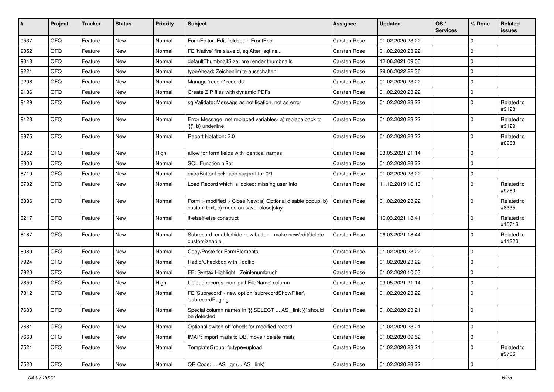| #    | Project | <b>Tracker</b> | <b>Status</b> | <b>Priority</b> | <b>Subject</b>                                                                                         | <b>Assignee</b>     | <b>Updated</b>   | OS/<br><b>Services</b> | % Done      | Related<br>issues    |
|------|---------|----------------|---------------|-----------------|--------------------------------------------------------------------------------------------------------|---------------------|------------------|------------------------|-------------|----------------------|
| 9537 | QFQ     | Feature        | New           | Normal          | FormEditor: Edit fieldset in FrontEnd                                                                  | <b>Carsten Rose</b> | 01.02.2020 23:22 |                        | $\mathbf 0$ |                      |
| 9352 | QFQ     | Feature        | New           | Normal          | FE 'Native' fire slaveld, sqlAfter, sqllns                                                             | <b>Carsten Rose</b> | 01.02.2020 23:22 |                        | 0           |                      |
| 9348 | QFQ     | Feature        | New           | Normal          | defaultThumbnailSize: pre render thumbnails                                                            | Carsten Rose        | 12.06.2021 09:05 |                        | 0           |                      |
| 9221 | QFQ     | Feature        | New           | Normal          | typeAhead: Zeichenlimite ausschalten                                                                   | <b>Carsten Rose</b> | 29.06.2022 22:36 |                        | $\mathbf 0$ |                      |
| 9208 | QFQ     | Feature        | New           | Normal          | Manage 'recent' records                                                                                | <b>Carsten Rose</b> | 01.02.2020 23:22 |                        | $\mathbf 0$ |                      |
| 9136 | QFQ     | Feature        | New           | Normal          | Create ZIP files with dynamic PDFs                                                                     | <b>Carsten Rose</b> | 01.02.2020 23:22 |                        | $\mathbf 0$ |                      |
| 9129 | QFQ     | Feature        | New           | Normal          | sqlValidate: Message as notification, not as error                                                     | <b>Carsten Rose</b> | 01.02.2020 23:22 |                        | $\mathbf 0$ | Related to<br>#9128  |
| 9128 | QFQ     | Feature        | New           | Normal          | Error Message: not replaced variables- a) replace back to<br>'{{', b) underline                        | <b>Carsten Rose</b> | 01.02.2020 23:22 |                        | $\mathbf 0$ | Related to<br>#9129  |
| 8975 | QFQ     | Feature        | New           | Normal          | Report Notation: 2.0                                                                                   | <b>Carsten Rose</b> | 01.02.2020 23:22 |                        | $\mathbf 0$ | Related to<br>#8963  |
| 8962 | QFQ     | Feature        | New           | High            | allow for form fields with identical names                                                             | <b>Carsten Rose</b> | 03.05.2021 21:14 |                        | $\mathbf 0$ |                      |
| 8806 | QFQ     | Feature        | New           | Normal          | SQL Function nl2br                                                                                     | <b>Carsten Rose</b> | 01.02.2020 23:22 |                        | 0           |                      |
| 8719 | QFQ     | Feature        | New           | Normal          | extraButtonLock: add support for 0/1                                                                   | <b>Carsten Rose</b> | 01.02.2020 23:22 |                        | 0           |                      |
| 8702 | QFQ     | Feature        | New           | Normal          | Load Record which is locked: missing user info                                                         | <b>Carsten Rose</b> | 11.12.2019 16:16 |                        | $\mathbf 0$ | Related to<br>#9789  |
| 8336 | QFQ     | Feature        | New           | Normal          | Form > modified > Close New: a) Optional disable popup, b)<br>custom text, c) mode on save: close stay | <b>Carsten Rose</b> | 01.02.2020 23:22 |                        | $\mathbf 0$ | Related to<br>#8335  |
| 8217 | QFQ     | Feature        | New           | Normal          | if-elseif-else construct                                                                               | Carsten Rose        | 16.03.2021 18:41 |                        | $\mathbf 0$ | Related to<br>#10716 |
| 8187 | QFQ     | Feature        | New           | Normal          | Subrecord: enable/hide new button - make new/edit/delete<br>customizeable.                             | <b>Carsten Rose</b> | 06.03.2021 18:44 |                        | $\mathbf 0$ | Related to<br>#11326 |
| 8089 | QFQ     | Feature        | New           | Normal          | Copy/Paste for FormElements                                                                            | <b>Carsten Rose</b> | 01.02.2020 23:22 |                        | $\mathbf 0$ |                      |
| 7924 | QFQ     | Feature        | New           | Normal          | Radio/Checkbox with Tooltip                                                                            | <b>Carsten Rose</b> | 01.02.2020 23:22 |                        | $\mathbf 0$ |                      |
| 7920 | QFQ     | Feature        | New           | Normal          | FE: Syntax Highlight, Zeinlenumbruch                                                                   | <b>Carsten Rose</b> | 01.02.2020 10:03 |                        | 0           |                      |
| 7850 | QFQ     | Feature        | New           | High            | Upload records: non 'pathFileName' column                                                              | Carsten Rose        | 03.05.2021 21:14 |                        | 0           |                      |
| 7812 | QFQ     | Feature        | New           | Normal          | FE 'Subrecord' - new option 'subrecordShowFilter',<br>'subrecordPaging'                                | Carsten Rose        | 01.02.2020 23:22 |                        | 0           |                      |
| 7683 | QFQ     | Feature        | New           | Normal          | Special column names in '{{ SELECT  AS _link }}' should<br>be detected                                 | <b>Carsten Rose</b> | 01.02.2020 23:21 |                        | 0           |                      |
| 7681 | QFQ     | Feature        | New           | Normal          | Optional switch off 'check for modified record'                                                        | Carsten Rose        | 01.02.2020 23:21 |                        | $\mathbf 0$ |                      |
| 7660 | QFQ     | Feature        | New           | Normal          | IMAP: import mails to DB, move / delete mails                                                          | Carsten Rose        | 01.02.2020 09:52 |                        | $\mathbf 0$ |                      |
| 7521 | QFQ     | Feature        | New           | Normal          | TemplateGroup: fe.type=upload                                                                          | Carsten Rose        | 01.02.2020 23:21 |                        | 0           | Related to<br>#9706  |
| 7520 | QFQ     | Feature        | New           | Normal          | QR Code:  AS _qr ( AS _link)                                                                           | Carsten Rose        | 01.02.2020 23:22 |                        | 0           |                      |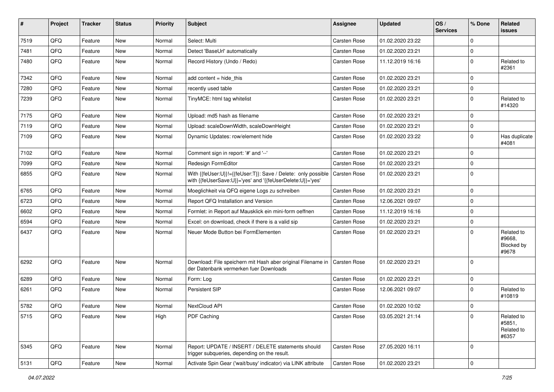| #    | Project | <b>Tracker</b> | <b>Status</b> | <b>Priority</b> | Subject                                                                                                                    | Assignee            | <b>Updated</b>   | OS/<br><b>Services</b> | % Done         | Related<br>issues                                  |
|------|---------|----------------|---------------|-----------------|----------------------------------------------------------------------------------------------------------------------------|---------------------|------------------|------------------------|----------------|----------------------------------------------------|
| 7519 | QFQ     | Feature        | <b>New</b>    | Normal          | Select: Multi                                                                                                              | <b>Carsten Rose</b> | 01.02.2020 23:22 |                        | $\mathbf 0$    |                                                    |
| 7481 | QFQ     | Feature        | New           | Normal          | Detect 'BaseUrl' automatically                                                                                             | <b>Carsten Rose</b> | 01.02.2020 23:21 |                        | 0              |                                                    |
| 7480 | QFQ     | Feature        | New           | Normal          | Record History (Undo / Redo)                                                                                               | Carsten Rose        | 11.12.2019 16:16 |                        | $\mathbf 0$    | Related to<br>#2361                                |
| 7342 | QFQ     | Feature        | New           | Normal          | add content $=$ hide this                                                                                                  | <b>Carsten Rose</b> | 01.02.2020 23:21 |                        | 0              |                                                    |
| 7280 | QFQ     | Feature        | New           | Normal          | recently used table                                                                                                        | <b>Carsten Rose</b> | 01.02.2020 23:21 |                        | $\mathbf 0$    |                                                    |
| 7239 | QFQ     | Feature        | New           | Normal          | TinyMCE: html tag whitelist                                                                                                | <b>Carsten Rose</b> | 01.02.2020 23:21 |                        | $\mathbf 0$    | Related to<br>#14320                               |
| 7175 | QFQ     | Feature        | <b>New</b>    | Normal          | Upload: md5 hash as filename                                                                                               | <b>Carsten Rose</b> | 01.02.2020 23:21 |                        | $\mathbf 0$    |                                                    |
| 7119 | QFQ     | Feature        | New           | Normal          | Upload: scaleDownWidth, scaleDownHeight                                                                                    | <b>Carsten Rose</b> | 01.02.2020 23:21 |                        | 0              |                                                    |
| 7109 | QFQ     | Feature        | New           | Normal          | Dynamic Updates: row/element hide                                                                                          | Carsten Rose        | 01.02.2020 23:22 |                        | $\mathbf 0$    | Has duplicate<br>#4081                             |
| 7102 | QFQ     | Feature        | <b>New</b>    | Normal          | Comment sign in report: '#' and '--'                                                                                       | <b>Carsten Rose</b> | 01.02.2020 23:21 |                        | 0              |                                                    |
| 7099 | QFQ     | Feature        | New           | Normal          | Redesign FormEditor                                                                                                        | <b>Carsten Rose</b> | 01.02.2020 23:21 |                        | 0              |                                                    |
| 6855 | QFQ     | Feature        | New           | Normal          | With {{feUser:U}}!={{feUser:T}}: Save / Delete: only possible<br>with {{feUserSave:U}}='yes' and '{{feUserDelete:U}}='yes' | <b>Carsten Rose</b> | 01.02.2020 23:21 |                        | $\mathbf 0$    |                                                    |
| 6765 | QFQ     | Feature        | <b>New</b>    | Normal          | Moeglichkeit via QFQ eigene Logs zu schreiben                                                                              | Carsten Rose        | 01.02.2020 23:21 |                        | $\mathbf 0$    |                                                    |
| 6723 | QFQ     | Feature        | New           | Normal          | Report QFQ Installation and Version                                                                                        | <b>Carsten Rose</b> | 12.06.2021 09:07 |                        | 0              |                                                    |
| 6602 | QFQ     | Feature        | New           | Normal          | Formlet: in Report auf Mausklick ein mini-form oeffnen                                                                     | Carsten Rose        | 11.12.2019 16:16 |                        | $\mathbf 0$    |                                                    |
| 6594 | QFQ     | Feature        | <b>New</b>    | Normal          | Excel: on download, check if there is a valid sip                                                                          | Carsten Rose        | 01.02.2020 23:21 |                        | $\mathbf 0$    |                                                    |
| 6437 | QFQ     | Feature        | New           | Normal          | Neuer Mode Button bei FormElementen                                                                                        | <b>Carsten Rose</b> | 01.02.2020 23:21 |                        | 0              | Related to<br>#9668,<br><b>Blocked by</b><br>#9678 |
| 6292 | QFQ     | Feature        | New           | Normal          | Download: File speichern mit Hash aber original Filename in<br>der Datenbank vermerken fuer Downloads                      | Carsten Rose        | 01.02.2020 23:21 |                        | $\mathbf 0$    |                                                    |
| 6289 | QFQ     | Feature        | <b>New</b>    | Normal          | Form: Log                                                                                                                  | Carsten Rose        | 01.02.2020 23:21 |                        | $\mathbf 0$    |                                                    |
| 6261 | QFQ     | Feature        | <b>New</b>    | Normal          | Persistent SIP                                                                                                             | Carsten Rose        | 12.06.2021 09:07 |                        | $\Omega$       | Related to<br>#10819                               |
| 5782 | QFQ     | Feature        | <b>New</b>    | Normal          | NextCloud API                                                                                                              | <b>Carsten Rose</b> | 01.02.2020 10:02 |                        | 0              |                                                    |
| 5715 | QFQ     | Feature        | New           | High            | PDF Caching                                                                                                                | <b>Carsten Rose</b> | 03.05.2021 21:14 |                        | 0              | Related to<br>#5851,<br>Related to<br>#6357        |
| 5345 | QFQ     | Feature        | New           | Normal          | Report: UPDATE / INSERT / DELETE statements should<br>trigger subqueries, depending on the result.                         | Carsten Rose        | 27.05.2020 16:11 |                        | $\mathbf 0$    |                                                    |
| 5131 | QFO     | Feature        | New           | Normal          | Activate Spin Gear ('wait/busy' indicator) via LINK attribute                                                              | Carsten Rose        | 01.02.2020 23:21 |                        | $\overline{0}$ |                                                    |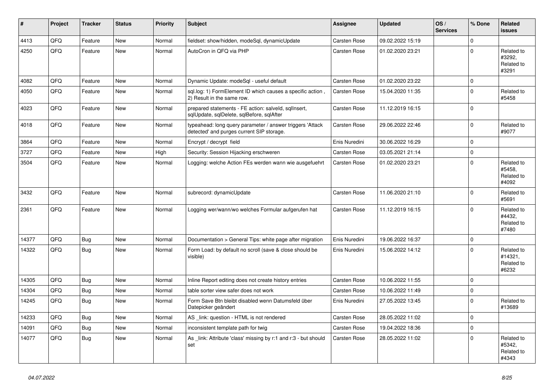| $\vert$ # | Project | <b>Tracker</b> | <b>Status</b> | <b>Priority</b> | <b>Subject</b>                                                                                         | <b>Assignee</b>     | <b>Updated</b>   | OS/<br><b>Services</b> | % Done      | Related<br><b>issues</b>                     |
|-----------|---------|----------------|---------------|-----------------|--------------------------------------------------------------------------------------------------------|---------------------|------------------|------------------------|-------------|----------------------------------------------|
| 4413      | QFQ     | Feature        | <b>New</b>    | Normal          | fieldset: show/hidden, modeSql, dynamicUpdate                                                          | <b>Carsten Rose</b> | 09.02.2022 15:19 |                        | $\mathbf 0$ |                                              |
| 4250      | QFQ     | Feature        | <b>New</b>    | Normal          | AutoCron in QFQ via PHP                                                                                | Carsten Rose        | 01.02.2020 23:21 |                        | $\mathbf 0$ | Related to<br>#3292,<br>Related to<br>#3291  |
| 4082      | QFQ     | Feature        | <b>New</b>    | Normal          | Dynamic Update: modeSql - useful default                                                               | <b>Carsten Rose</b> | 01.02.2020 23:22 |                        | $\mathbf 0$ |                                              |
| 4050      | QFQ     | Feature        | <b>New</b>    | Normal          | sql.log: 1) FormElement ID which causes a specific action,<br>2) Result in the same row.               | <b>Carsten Rose</b> | 15.04.2020 11:35 |                        | $\Omega$    | Related to<br>#5458                          |
| 4023      | QFQ     | Feature        | New           | Normal          | prepared statements - FE action: salveld, sqlInsert,<br>sqlUpdate, sqlDelete, sqlBefore, sqlAfter      | <b>Carsten Rose</b> | 11.12.2019 16:15 |                        | $\mathbf 0$ |                                              |
| 4018      | QFQ     | Feature        | <b>New</b>    | Normal          | typeahead: long query parameter / answer triggers 'Attack<br>detected' and purges current SIP storage. | Carsten Rose        | 29.06.2022 22:46 |                        | $\Omega$    | Related to<br>#9077                          |
| 3864      | QFQ     | Feature        | <b>New</b>    | Normal          | Encrypt / decrypt field                                                                                | Enis Nuredini       | 30.06.2022 16:29 |                        | $\mathbf 0$ |                                              |
| 3727      | QFQ     | Feature        | <b>New</b>    | High            | Security: Session Hijacking erschweren                                                                 | <b>Carsten Rose</b> | 03.05.2021 21:14 |                        | $\mathbf 0$ |                                              |
| 3504      | QFQ     | Feature        | <b>New</b>    | Normal          | Logging: welche Action FEs werden wann wie ausgefuehrt                                                 | <b>Carsten Rose</b> | 01.02.2020 23:21 |                        | $\mathbf 0$ | Related to<br>#5458.<br>Related to<br>#4092  |
| 3432      | QFQ     | Feature        | <b>New</b>    | Normal          | subrecord: dynamicUpdate                                                                               | <b>Carsten Rose</b> | 11.06.2020 21:10 |                        | $\Omega$    | Related to<br>#5691                          |
| 2361      | QFQ     | Feature        | New           | Normal          | Logging wer/wann/wo welches Formular aufgerufen hat                                                    | <b>Carsten Rose</b> | 11.12.2019 16:15 |                        | $\mathbf 0$ | Related to<br>#4432,<br>Related to<br>#7480  |
| 14377     | QFQ     | Bug            | <b>New</b>    | Normal          | Documentation > General Tips: white page after migration                                               | Enis Nuredini       | 19.06.2022 16:37 |                        | $\Omega$    |                                              |
| 14322     | QFQ     | Bug            | <b>New</b>    | Normal          | Form Load: by default no scroll (save & close should be<br>visible)                                    | Enis Nuredini       | 15.06.2022 14:12 |                        | $\Omega$    | Related to<br>#14321,<br>Related to<br>#6232 |
| 14305     | QFQ     | Bug            | <b>New</b>    | Normal          | Inline Report editing does not create history entries                                                  | <b>Carsten Rose</b> | 10.06.2022 11:55 |                        | $\mathbf 0$ |                                              |
| 14304     | QFQ     | Bug            | <b>New</b>    | Normal          | table sorter view safer does not work                                                                  | Carsten Rose        | 10.06.2022 11:49 |                        | $\mathbf 0$ |                                              |
| 14245     | QFQ     | Bug            | <b>New</b>    | Normal          | Form Save Btn bleibt disabled wenn Datumsfeld über<br>Datepicker geändert                              | Enis Nuredini       | 27.05.2022 13:45 |                        | $\mathbf 0$ | Related to<br>#13689                         |
| 14233     | QFQ     | Bug            | New           | Normal          | AS_link: question - HTML is not rendered                                                               | Carsten Rose        | 28.05.2022 11:02 |                        | $\Omega$    |                                              |
| 14091     | QFQ     | <b>Bug</b>     | New           | Normal          | inconsistent template path for twig                                                                    | Carsten Rose        | 19.04.2022 18:36 |                        | $\mathbf 0$ |                                              |
| 14077     | QFQ     | <b>Bug</b>     | <b>New</b>    | Normal          | As _link: Attribute 'class' missing by r:1 and r:3 - but should<br>set                                 | <b>Carsten Rose</b> | 28.05.2022 11:02 |                        | $\Omega$    | Related to<br>#5342.<br>Related to<br>#4343  |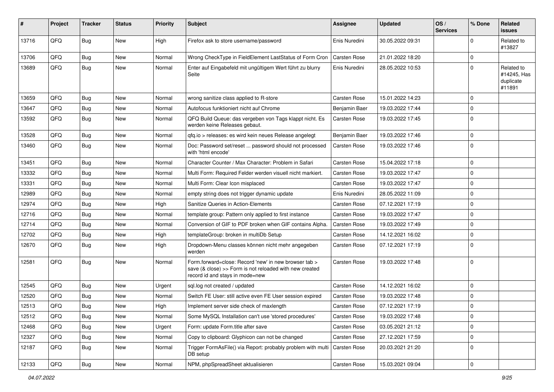| #     | Project | <b>Tracker</b> | <b>Status</b> | <b>Priority</b> | Subject                                                                                                                                             | <b>Assignee</b>     | <b>Updated</b>   | OS/<br><b>Services</b> | % Done       | Related<br>issues                                |
|-------|---------|----------------|---------------|-----------------|-----------------------------------------------------------------------------------------------------------------------------------------------------|---------------------|------------------|------------------------|--------------|--------------------------------------------------|
| 13716 | QFQ     | <b>Bug</b>     | <b>New</b>    | High            | Firefox ask to store username/password                                                                                                              | Enis Nuredini       | 30.05.2022 09:31 |                        | $\mathbf 0$  | Related to<br>#13827                             |
| 13706 | QFQ     | <b>Bug</b>     | New           | Normal          | Wrong CheckType in FieldElement LastStatus of Form Cron                                                                                             | <b>Carsten Rose</b> | 21.01.2022 18:20 |                        | 0            |                                                  |
| 13689 | QFQ     | <b>Bug</b>     | New           | Normal          | Enter auf Eingabefeld mit ungültigem Wert führt zu blurry<br>Seite                                                                                  | Enis Nuredini       | 28.05.2022 10:53 |                        | $\mathbf 0$  | Related to<br>#14245, Has<br>duplicate<br>#11891 |
| 13659 | QFQ     | <b>Bug</b>     | New           | Normal          | wrong sanitize class applied to R-store                                                                                                             | Carsten Rose        | 15.01.2022 14:23 |                        | $\mathbf 0$  |                                                  |
| 13647 | QFQ     | <b>Bug</b>     | New           | Normal          | Autofocus funktioniert nicht auf Chrome                                                                                                             | Benjamin Baer       | 19.03.2022 17:44 |                        | $\mathbf 0$  |                                                  |
| 13592 | QFQ     | Bug            | New           | Normal          | QFQ Build Queue: das vergeben von Tags klappt nicht. Es<br>werden keine Releases gebaut.                                                            | Carsten Rose        | 19.03.2022 17:45 |                        | $\mathbf 0$  |                                                  |
| 13528 | QFQ     | <b>Bug</b>     | New           | Normal          | qfq.io > releases: es wird kein neues Release angelegt                                                                                              | Benjamin Baer       | 19.03.2022 17:46 |                        | $\mathbf 0$  |                                                  |
| 13460 | QFQ     | <b>Bug</b>     | New           | Normal          | Doc: Password set/reset  password should not processed<br>with 'html encode'                                                                        | Carsten Rose        | 19.03.2022 17:46 |                        | $\mathbf 0$  |                                                  |
| 13451 | QFQ     | <b>Bug</b>     | <b>New</b>    | Normal          | Character Counter / Max Character: Problem in Safari                                                                                                | <b>Carsten Rose</b> | 15.04.2022 17:18 |                        | $\mathbf 0$  |                                                  |
| 13332 | QFQ     | <b>Bug</b>     | New           | Normal          | Multi Form: Required Felder werden visuell nicht markiert.                                                                                          | Carsten Rose        | 19.03.2022 17:47 |                        | $\mathbf 0$  |                                                  |
| 13331 | QFQ     | <b>Bug</b>     | <b>New</b>    | Normal          | Multi Form: Clear Icon misplaced                                                                                                                    | <b>Carsten Rose</b> | 19.03.2022 17:47 |                        | $\mathbf 0$  |                                                  |
| 12989 | QFQ     | Bug            | New           | Normal          | empty string does not trigger dynamic update                                                                                                        | Enis Nuredini       | 28.05.2022 11:09 |                        | $\mathbf 0$  |                                                  |
| 12974 | QFQ     | <b>Bug</b>     | New           | High            | Sanitize Queries in Action-Elements                                                                                                                 | Carsten Rose        | 07.12.2021 17:19 |                        | $\mathbf 0$  |                                                  |
| 12716 | QFQ     | <b>Bug</b>     | <b>New</b>    | Normal          | template group: Pattern only applied to first instance                                                                                              | Carsten Rose        | 19.03.2022 17:47 |                        | $\mathbf 0$  |                                                  |
| 12714 | QFQ     | <b>Bug</b>     | New           | Normal          | Conversion of GIF to PDF broken when GIF contains Alpha.                                                                                            | Carsten Rose        | 19.03.2022 17:49 |                        | $\mathbf 0$  |                                                  |
| 12702 | QFQ     | <b>Bug</b>     | New           | High            | templateGroup: broken in multiDb Setup                                                                                                              | <b>Carsten Rose</b> | 14.12.2021 16:02 |                        | $\mathbf 0$  |                                                  |
| 12670 | QFQ     | Bug            | New           | High            | Dropdown-Menu classes können nicht mehr angegeben<br>werden                                                                                         | Carsten Rose        | 07.12.2021 17:19 |                        | $\mathbf 0$  |                                                  |
| 12581 | QFQ     | <b>Bug</b>     | New           | Normal          | Form.forward=close: Record 'new' in new browser tab ><br>save (& close) >> Form is not reloaded with new created<br>record id and stays in mode=new | Carsten Rose        | 19.03.2022 17:48 |                        | $\mathbf 0$  |                                                  |
| 12545 | QFQ     | <b>Bug</b>     | New           | Urgent          | sql.log not created / updated                                                                                                                       | Carsten Rose        | 14.12.2021 16:02 |                        | $\mathbf 0$  |                                                  |
| 12520 | QFQ     | Bug            | New           | Normal          | Switch FE User: still active even FE User session expired                                                                                           | <b>Carsten Rose</b> | 19.03.2022 17:48 |                        | $\mathbf{0}$ |                                                  |
| 12513 | QFQ     | <b>Bug</b>     | New           | High            | Implement server side check of maxlength                                                                                                            | <b>Carsten Rose</b> | 07.12.2021 17:19 |                        | $\pmb{0}$    |                                                  |
| 12512 | QFQ     | Bug            | New           | Normal          | Some MySQL Installation can't use 'stored procedures'                                                                                               | <b>Carsten Rose</b> | 19.03.2022 17:48 |                        | 0            |                                                  |
| 12468 | QFQ     | <b>Bug</b>     | New           | Urgent          | Form: update Form.title after save                                                                                                                  | Carsten Rose        | 03.05.2021 21:12 |                        | $\pmb{0}$    |                                                  |
| 12327 | QFQ     | <b>Bug</b>     | New           | Normal          | Copy to clipboard: Glyphicon can not be changed                                                                                                     | Carsten Rose        | 27.12.2021 17:59 |                        | 0            |                                                  |
| 12187 | QFQ     | <b>Bug</b>     | New           | Normal          | Trigger FormAsFile() via Report: probably problem with multi<br>DB setup                                                                            | Carsten Rose        | 20.03.2021 21:20 |                        | $\pmb{0}$    |                                                  |
| 12133 | QFQ     | Bug            | New           | Normal          | NPM, phpSpreadSheet aktualisieren                                                                                                                   | Carsten Rose        | 15.03.2021 09:04 |                        | $\pmb{0}$    |                                                  |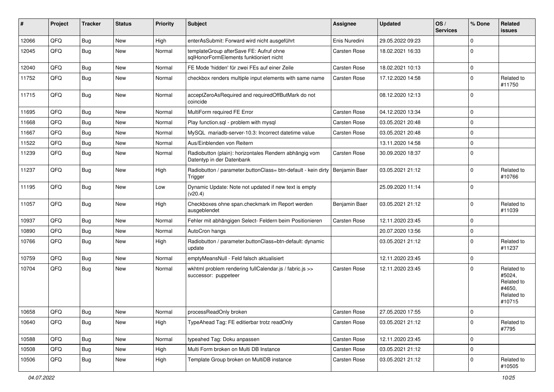| #     | Project | <b>Tracker</b> | <b>Status</b> | <b>Priority</b> | Subject                                                                             | <b>Assignee</b>     | <b>Updated</b>   | OS/<br><b>Services</b> | % Done      | Related<br>issues                                                    |
|-------|---------|----------------|---------------|-----------------|-------------------------------------------------------------------------------------|---------------------|------------------|------------------------|-------------|----------------------------------------------------------------------|
| 12066 | QFQ     | <b>Bug</b>     | New           | High            | enterAsSubmit: Forward wird nicht ausgeführt                                        | Enis Nuredini       | 29.05.2022 09:23 |                        | $\mathbf 0$ |                                                                      |
| 12045 | QFQ     | <b>Bug</b>     | New           | Normal          | templateGroup afterSave FE: Aufruf ohne<br>sqlHonorFormElements funktioniert nicht  | <b>Carsten Rose</b> | 18.02.2021 16:33 |                        | $\mathbf 0$ |                                                                      |
| 12040 | QFQ     | <b>Bug</b>     | <b>New</b>    | Normal          | FE Mode 'hidden' für zwei FEs auf einer Zeile                                       | Carsten Rose        | 18.02.2021 10:13 |                        | $\mathbf 0$ |                                                                      |
| 11752 | QFQ     | <b>Bug</b>     | New           | Normal          | checkbox renders multiple input elements with same name                             | Carsten Rose        | 17.12.2020 14:58 |                        | $\mathbf 0$ | Related to<br>#11750                                                 |
| 11715 | QFQ     | <b>Bug</b>     | New           | Normal          | acceptZeroAsRequired and requiredOffButMark do not<br>coincide                      |                     | 08.12.2020 12:13 |                        | $\mathbf 0$ |                                                                      |
| 11695 | QFQ     | <b>Bug</b>     | <b>New</b>    | Normal          | MultiForm required FE Error                                                         | Carsten Rose        | 04.12.2020 13:34 |                        | $\mathbf 0$ |                                                                      |
| 11668 | QFQ     | Bug            | New           | Normal          | Play function.sql - problem with mysql                                              | Carsten Rose        | 03.05.2021 20:48 |                        | $\mathbf 0$ |                                                                      |
| 11667 | QFQ     | <b>Bug</b>     | New           | Normal          | MySQL mariadb-server-10.3: Incorrect datetime value                                 | Carsten Rose        | 03.05.2021 20:48 |                        | $\mathbf 0$ |                                                                      |
| 11522 | QFQ     | <b>Bug</b>     | New           | Normal          | Aus/Einblenden von Reitern                                                          |                     | 13.11.2020 14:58 |                        | $\mathbf 0$ |                                                                      |
| 11239 | QFQ     | <b>Bug</b>     | New           | Normal          | Radiobutton (plain): horizontales Rendern abhängig vom<br>Datentyp in der Datenbank | Carsten Rose        | 30.09.2020 18:37 |                        | $\mathbf 0$ |                                                                      |
| 11237 | QFQ     | <b>Bug</b>     | New           | High            | Radiobutton / parameter.buttonClass= btn-default - kein dirty<br>Trigger            | Benjamin Baer       | 03.05.2021 21:12 |                        | $\mathbf 0$ | Related to<br>#10766                                                 |
| 11195 | QFQ     | <b>Bug</b>     | <b>New</b>    | Low             | Dynamic Update: Note not updated if new text is empty<br>(v20.4)                    |                     | 25.09.2020 11:14 |                        | $\mathbf 0$ |                                                                      |
| 11057 | QFQ     | Bug            | <b>New</b>    | High            | Checkboxes ohne span.checkmark im Report werden<br>ausgeblendet                     | Benjamin Baer       | 03.05.2021 21:12 |                        | $\mathbf 0$ | Related to<br>#11039                                                 |
| 10937 | QFQ     | Bug            | New           | Normal          | Fehler mit abhängigen Select- Feldern beim Positionieren                            | <b>Carsten Rose</b> | 12.11.2020 23:45 |                        | $\mathbf 0$ |                                                                      |
| 10890 | QFQ     | <b>Bug</b>     | New           | Normal          | AutoCron hangs                                                                      |                     | 20.07.2020 13:56 |                        | $\pmb{0}$   |                                                                      |
| 10766 | QFQ     | <b>Bug</b>     | New           | High            | Radiobutton / parameter.buttonClass=btn-default: dynamic<br>update                  |                     | 03.05.2021 21:12 |                        | $\mathbf 0$ | Related to<br>#11237                                                 |
| 10759 | QFQ     | <b>Bug</b>     | New           | Normal          | emptyMeansNull - Feld falsch aktualisiert                                           |                     | 12.11.2020 23:45 |                        | $\mathbf 0$ |                                                                      |
| 10704 | QFQ     | <b>Bug</b>     | New           | Normal          | wkhtml problem rendering fullCalendar.js / fabric.js >><br>successor: puppeteer     | Carsten Rose        | 12.11.2020 23:45 |                        | $\mathbf 0$ | Related to<br>#5024,<br>Related to<br>#4650,<br>Related to<br>#10715 |
| 10658 | QFQ     | Bug            | New           | Normal          | processReadOnly broken                                                              | Carsten Rose        | 27.05.2020 17:55 |                        | $\Omega$    |                                                                      |
| 10640 | QFQ     | Bug            | New           | High            | TypeAhead Tag: FE editierbar trotz readOnly                                         | <b>Carsten Rose</b> | 03.05.2021 21:12 |                        | $\mathbf 0$ | Related to<br>#7795                                                  |
| 10588 | QFQ     | Bug            | New           | Normal          | typeahed Tag: Doku anpassen                                                         | Carsten Rose        | 12.11.2020 23:45 |                        | 0           |                                                                      |
| 10508 | QFQ     | <b>Bug</b>     | New           | High            | Multi Form broken on Multi DB Instance                                              | Carsten Rose        | 03.05.2021 21:12 |                        | $\pmb{0}$   |                                                                      |
| 10506 | QFQ     | <b>Bug</b>     | New           | High            | Template Group broken on MultiDB instance                                           | Carsten Rose        | 03.05.2021 21:12 |                        | $\mathbf 0$ | Related to<br>#10505                                                 |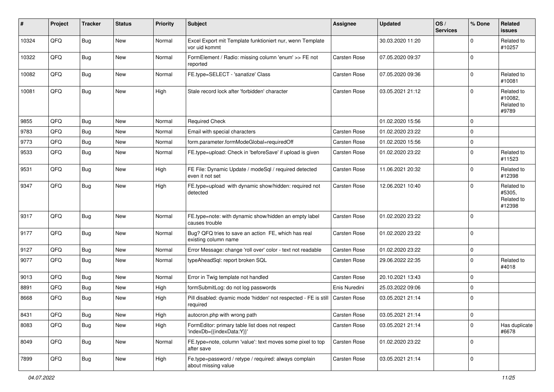| #     | Project | <b>Tracker</b> | <b>Status</b> | <b>Priority</b> | <b>Subject</b>                                                               | <b>Assignee</b>     | <b>Updated</b>   | OS/<br><b>Services</b> | % Done      | Related<br><b>issues</b>                     |
|-------|---------|----------------|---------------|-----------------|------------------------------------------------------------------------------|---------------------|------------------|------------------------|-------------|----------------------------------------------|
| 10324 | QFQ     | <b>Bug</b>     | New           | Normal          | Excel Export mit Template funktioniert nur, wenn Template<br>vor uid kommt   |                     | 30.03.2020 11:20 |                        | $\mathbf 0$ | Related to<br>#10257                         |
| 10322 | QFQ     | <b>Bug</b>     | <b>New</b>    | Normal          | FormElement / Radio: missing column 'enum' >> FE not<br>reported             | <b>Carsten Rose</b> | 07.05.2020 09:37 |                        | $\Omega$    |                                              |
| 10082 | QFQ     | <b>Bug</b>     | <b>New</b>    | Normal          | FE.type=SELECT - 'sanatize' Class                                            | Carsten Rose        | 07.05.2020 09:36 |                        | $\Omega$    | Related to<br>#10081                         |
| 10081 | QFQ     | <b>Bug</b>     | New           | High            | Stale record lock after 'forbidden' character                                | Carsten Rose        | 03.05.2021 21:12 |                        | $\mathbf 0$ | Related to<br>#10082,<br>Related to<br>#9789 |
| 9855  | QFQ     | <b>Bug</b>     | <b>New</b>    | Normal          | <b>Required Check</b>                                                        |                     | 01.02.2020 15:56 |                        | $\mathbf 0$ |                                              |
| 9783  | QFQ     | <b>Bug</b>     | New           | Normal          | Email with special characters                                                | <b>Carsten Rose</b> | 01.02.2020 23:22 |                        | $\mathbf 0$ |                                              |
| 9773  | QFQ     | <b>Bug</b>     | New           | Normal          | form.parameter.formModeGlobal=requiredOff                                    | <b>Carsten Rose</b> | 01.02.2020 15:56 |                        | $\mathbf 0$ |                                              |
| 9533  | QFQ     | <b>Bug</b>     | New           | Normal          | FE.type=upload: Check in 'beforeSave' if upload is given                     | <b>Carsten Rose</b> | 01.02.2020 23:22 |                        | $\mathbf 0$ | Related to<br>#11523                         |
| 9531  | QFQ     | <b>Bug</b>     | <b>New</b>    | High            | FE File: Dynamic Update / modeSql / required detected<br>even it not set     | <b>Carsten Rose</b> | 11.06.2021 20:32 |                        | $\Omega$    | Related to<br>#12398                         |
| 9347  | QFQ     | <b>Bug</b>     | New           | High            | FE.type=upload with dynamic show/hidden: required not<br>detected            | <b>Carsten Rose</b> | 12.06.2021 10:40 |                        | $\mathbf 0$ | Related to<br>#5305,<br>Related to<br>#12398 |
| 9317  | QFQ     | Bug            | <b>New</b>    | Normal          | FE.type=note: with dynamic show/hidden an empty label<br>causes trouble      | <b>Carsten Rose</b> | 01.02.2020 23:22 |                        | $\Omega$    |                                              |
| 9177  | QFQ     | <b>Bug</b>     | New           | Normal          | Bug? QFQ tries to save an action FE, which has real<br>existing column name  | Carsten Rose        | 01.02.2020 23:22 |                        | $\Omega$    |                                              |
| 9127  | QFQ     | <b>Bug</b>     | New           | Normal          | Error Message: change 'roll over' color - text not readable                  | Carsten Rose        | 01.02.2020 23:22 |                        | $\mathbf 0$ |                                              |
| 9077  | QFQ     | <b>Bug</b>     | New           | Normal          | typeAheadSql: report broken SQL                                              | <b>Carsten Rose</b> | 29.06.2022 22:35 |                        | $\mathbf 0$ | Related to<br>#4018                          |
| 9013  | QFQ     | <b>Bug</b>     | <b>New</b>    | Normal          | Error in Twig template not handled                                           | Carsten Rose        | 20.10.2021 13:43 |                        | $\mathbf 0$ |                                              |
| 8891  | QFQ     | <b>Bug</b>     | New           | High            | formSubmitLog: do not log passwords                                          | Enis Nuredini       | 25.03.2022 09:06 |                        | $\mathbf 0$ |                                              |
| 8668  | QFQ     | <b>Bug</b>     | New           | High            | Pill disabled: dyamic mode 'hidden' not respected - FE is still<br>required  | Carsten Rose        | 03.05.2021 21:14 |                        | $\mathbf 0$ |                                              |
| 8431  | QFG     | Bug            | New           | High            | autocron.php with wrong path                                                 | Carsten Rose        | 03.05.2021 21:14 |                        | 0           |                                              |
| 8083  | QFQ     | <b>Bug</b>     | New           | High            | FormEditor: primary table list does not respect<br>'indexDb={{indexData:Y}}' | Carsten Rose        | 03.05.2021 21:14 |                        | $\Omega$    | Has duplicate<br>#6678                       |
| 8049  | QFQ     | <b>Bug</b>     | New           | Normal          | FE.type=note, column 'value': text moves some pixel to top<br>after save     | Carsten Rose        | 01.02.2020 23:22 |                        | $\mathbf 0$ |                                              |
| 7899  | QFQ     | <b>Bug</b>     | New           | High            | Fe.type=password / retype / required: always complain<br>about missing value | Carsten Rose        | 03.05.2021 21:14 |                        | $\mathbf 0$ |                                              |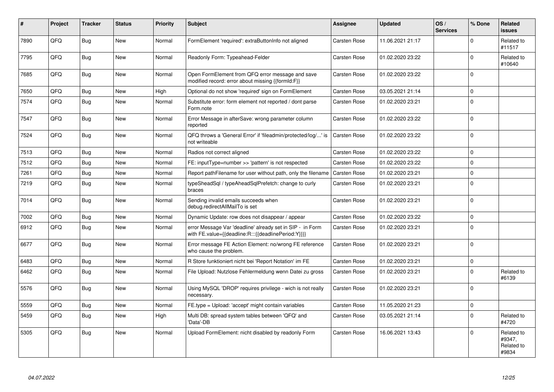| #    | Project | <b>Tracker</b> | <b>Status</b> | <b>Priority</b> | <b>Subject</b>                                                                                                   | <b>Assignee</b>     | <b>Updated</b>   | OS/<br><b>Services</b> | % Done      | <b>Related</b><br><b>issues</b>             |
|------|---------|----------------|---------------|-----------------|------------------------------------------------------------------------------------------------------------------|---------------------|------------------|------------------------|-------------|---------------------------------------------|
| 7890 | QFQ     | <b>Bug</b>     | <b>New</b>    | Normal          | FormElement 'required': extraButtonInfo not aligned                                                              | <b>Carsten Rose</b> | 11.06.2021 21:17 |                        | $\Omega$    | Related to<br>#11517                        |
| 7795 | QFQ     | Bug            | <b>New</b>    | Normal          | Readonly Form: Typeahead-Felder                                                                                  | Carsten Rose        | 01.02.2020 23:22 |                        | $\Omega$    | Related to<br>#10640                        |
| 7685 | QFQ     | Bug            | <b>New</b>    | Normal          | Open FormElement from QFQ error message and save<br>modified record: error about missing {{formId:F}}            | <b>Carsten Rose</b> | 01.02.2020 23:22 |                        | $\Omega$    |                                             |
| 7650 | QFQ     | Bug            | <b>New</b>    | High            | Optional do not show 'required' sign on FormElement                                                              | Carsten Rose        | 03.05.2021 21:14 |                        | 0           |                                             |
| 7574 | QFQ     | Bug            | <b>New</b>    | Normal          | Substitute error: form element not reported / dont parse<br>Form.note                                            | <b>Carsten Rose</b> | 01.02.2020 23:21 |                        | $\Omega$    |                                             |
| 7547 | QFQ     | Bug            | <b>New</b>    | Normal          | Error Message in afterSave: wrong parameter column<br>reported                                                   | Carsten Rose        | 01.02.2020 23:22 |                        | 0           |                                             |
| 7524 | QFQ     | Bug            | <b>New</b>    | Normal          | QFQ throws a 'General Error' if 'fileadmin/protected/log/' is<br>not writeable                                   | <b>Carsten Rose</b> | 01.02.2020 23:22 |                        | $\mathbf 0$ |                                             |
| 7513 | QFQ     | <b>Bug</b>     | <b>New</b>    | Normal          | Radios not correct aligned                                                                                       | <b>Carsten Rose</b> | 01.02.2020 23:22 |                        | 0           |                                             |
| 7512 | QFQ     | Bug            | <b>New</b>    | Normal          | FE: inputType=number >> 'pattern' is not respected                                                               | <b>Carsten Rose</b> | 01.02.2020 23:22 |                        | 0           |                                             |
| 7261 | QFQ     | Bug            | <b>New</b>    | Normal          | Report pathFilename for user without path, only the filename                                                     | <b>Carsten Rose</b> | 01.02.2020 23:21 |                        | 0           |                                             |
| 7219 | QFQ     | <b>Bug</b>     | <b>New</b>    | Normal          | typeSheadSql / typeAheadSqlPrefetch: change to curly<br>braces                                                   | Carsten Rose        | 01.02.2020 23:21 |                        | $\Omega$    |                                             |
| 7014 | QFQ     | Bug            | <b>New</b>    | Normal          | Sending invalid emails succeeds when<br>debug.redirectAllMailTo is set                                           | <b>Carsten Rose</b> | 01.02.2020 23:21 |                        | 0           |                                             |
| 7002 | QFQ     | Bug            | New           | Normal          | Dynamic Update: row does not disappear / appear                                                                  | <b>Carsten Rose</b> | 01.02.2020 23:22 |                        | $\Omega$    |                                             |
| 6912 | QFQ     | <b>Bug</b>     | <b>New</b>    | Normal          | error Message Var 'deadline' already set in SIP - in Form<br>with FE.value={{deadline:R:::{{deadlinePeriod:Y}}}} | Carsten Rose        | 01.02.2020 23:21 |                        | $\Omega$    |                                             |
| 6677 | QFQ     | <b>Bug</b>     | <b>New</b>    | Normal          | Error message FE Action Element: no/wrong FE reference<br>who cause the problem.                                 | Carsten Rose        | 01.02.2020 23:21 |                        | $\Omega$    |                                             |
| 6483 | QFQ     | <b>Bug</b>     | <b>New</b>    | Normal          | R Store funktioniert nicht bei 'Report Notation' im FE                                                           | Carsten Rose        | 01.02.2020 23:21 |                        | 0           |                                             |
| 6462 | QFQ     | <b>Bug</b>     | <b>New</b>    | Normal          | File Upload: Nutzlose Fehlermeldung wenn Datei zu gross                                                          | <b>Carsten Rose</b> | 01.02.2020 23:21 |                        | $\mathbf 0$ | Related to<br>#6139                         |
| 5576 | OFO.    | <b>Bug</b>     | New           | Normal          | Using MySQL 'DROP' requires privilege - wich is not really<br>necessary.                                         | Carsten Rose        | 01.02.2020 23:21 |                        | $\Omega$    |                                             |
| 5559 | QFQ     | <b>Bug</b>     | <b>New</b>    | Normal          | FE.type = Upload: 'accept' might contain variables                                                               | <b>Carsten Rose</b> | 11.05.2020 21:23 |                        | 0           |                                             |
| 5459 | QFQ     | <b>Bug</b>     | New           | High            | Multi DB: spread system tables between 'QFQ' and<br>'Data'-DB                                                    | Carsten Rose        | 03.05.2021 21:14 |                        | 0           | Related to<br>#4720                         |
| 5305 | QFQ     | <b>Bug</b>     | <b>New</b>    | Normal          | Upload FormElement: nicht disabled by readonly Form                                                              | <b>Carsten Rose</b> | 16.06.2021 13:43 |                        | $\Omega$    | Related to<br>#9347,<br>Related to<br>#9834 |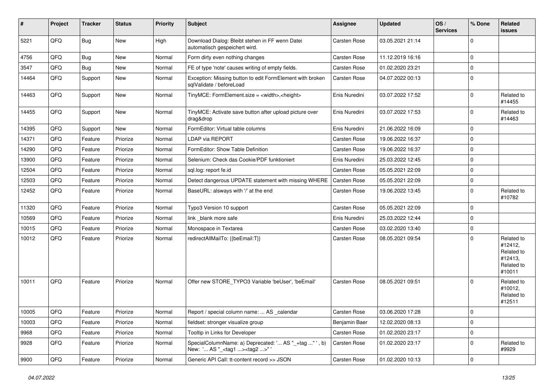| #     | Project | <b>Tracker</b> | <b>Status</b> | <b>Priority</b> | <b>Subject</b>                                                                                      | <b>Assignee</b>     | <b>Updated</b>   | OS/<br><b>Services</b> | % Done         | Related<br>issues                                                      |
|-------|---------|----------------|---------------|-----------------|-----------------------------------------------------------------------------------------------------|---------------------|------------------|------------------------|----------------|------------------------------------------------------------------------|
| 5221  | QFQ     | <b>Bug</b>     | New           | High            | Download Dialog: Bleibt stehen in FF wenn Datei<br>automatisch gespeichert wird.                    | Carsten Rose        | 03.05.2021 21:14 |                        | $\mathbf 0$    |                                                                        |
| 4756  | QFQ     | <b>Bug</b>     | <b>New</b>    | Normal          | Form dirty even nothing changes                                                                     | Carsten Rose        | 11.12.2019 16:16 |                        | 0              |                                                                        |
| 3547  | QFQ     | Bug            | New           | Normal          | FE of type 'note' causes writing of empty fields.                                                   | Carsten Rose        | 01.02.2020 23:21 |                        | $\mathbf 0$    |                                                                        |
| 14464 | QFQ     | Support        | New           | Normal          | Exception: Missing button to edit FormElement with broken<br>sqlValidate / beforeLoad               | <b>Carsten Rose</b> | 04.07.2022 00:13 |                        | $\mathbf 0$    |                                                                        |
| 14463 | QFQ     | Support        | New           | Normal          | TinyMCE: FormElement.size = <width>,<height></height></width>                                       | Enis Nuredini       | 03.07.2022 17:52 |                        | $\mathbf 0$    | Related to<br>#14455                                                   |
| 14455 | QFQ     | Support        | <b>New</b>    | Normal          | TinyMCE: Activate save button after upload picture over<br>drag&drop                                | Enis Nuredini       | 03.07.2022 17:53 |                        | $\mathbf 0$    | Related to<br>#14463                                                   |
| 14395 | QFQ     | Support        | <b>New</b>    | Normal          | FormEditor: Virtual table columns                                                                   | Enis Nuredini       | 21.06.2022 16:09 |                        | 0              |                                                                        |
| 14371 | QFQ     | Feature        | Priorize      | Normal          | LDAP via REPORT                                                                                     | <b>Carsten Rose</b> | 19.06.2022 16:37 |                        | $\mathbf 0$    |                                                                        |
| 14290 | QFQ     | Feature        | Priorize      | Normal          | FormEditor: Show Table Definition                                                                   | <b>Carsten Rose</b> | 19.06.2022 16:37 |                        | 0              |                                                                        |
| 13900 | QFQ     | Feature        | Priorize      | Normal          | Selenium: Check das Cookie/PDF funktioniert                                                         | Enis Nuredini       | 25.03.2022 12:45 |                        | $\mathbf 0$    |                                                                        |
| 12504 | QFQ     | Feature        | Priorize      | Normal          | sgl.log: report fe.id                                                                               | <b>Carsten Rose</b> | 05.05.2021 22:09 |                        | $\mathbf 0$    |                                                                        |
| 12503 | QFQ     | Feature        | Priorize      | Normal          | Detect dangerous UPDATE statement with missing WHERE                                                | <b>Carsten Rose</b> | 05.05.2021 22:09 |                        | $\mathbf 0$    |                                                                        |
| 12452 | QFQ     | Feature        | Priorize      | Normal          | BaseURL: alsways with '/' at the end                                                                | Carsten Rose        | 19.06.2022 13:45 |                        | $\mathbf 0$    | Related to<br>#10782                                                   |
| 11320 | QFQ     | Feature        | Priorize      | Normal          | Typo3 Version 10 support                                                                            | <b>Carsten Rose</b> | 05.05.2021 22:09 |                        | 0              |                                                                        |
| 10569 | QFQ     | Feature        | Priorize      | Normal          | link _blank more safe                                                                               | Enis Nuredini       | 25.03.2022 12:44 |                        | $\mathbf 0$    |                                                                        |
| 10015 | QFQ     | Feature        | Priorize      | Normal          | Monospace in Textarea                                                                               | <b>Carsten Rose</b> | 03.02.2020 13:40 |                        | $\mathbf 0$    |                                                                        |
| 10012 | QFQ     | Feature        | Priorize      | Normal          | redirectAllMailTo: {{beEmail:T}}                                                                    | <b>Carsten Rose</b> | 08.05.2021 09:54 |                        | $\Omega$       | Related to<br>#12412,<br>Related to<br>#12413,<br>Related to<br>#10011 |
| 10011 | QFQ     | Feature        | Priorize      | Normal          | Offer new STORE_TYPO3 Variable 'beUser', 'beEmail'                                                  | Carsten Rose        | 08.05.2021 09:51 |                        | $\Omega$       | Related to<br>#10012,<br>Related to<br>#12511                          |
| 10005 | QFQ     | Feature        | Priorize      | Normal          | Report / special column name:  AS _calendar                                                         | Carsten Rose        | 03.06.2020 17:28 |                        | $\mathbf 0$    |                                                                        |
| 10003 | QFQ     | Feature        | Priorize      | Normal          | fieldset: stronger visualize group                                                                  | Benjamin Baer       | 12.02.2020 08:13 |                        | $\mathbf 0$    |                                                                        |
| 9968  | QFQ     | Feature        | Priorize      | Normal          | Tooltip in Links for Developer                                                                      | Carsten Rose        | 01.02.2020 23:17 |                        | $\mathbf 0$    |                                                                        |
| 9928  | QFQ     | Feature        | Priorize      | Normal          | SpecialColumnName: a) Deprecated: ' AS "_+tag " ', b)<br>New: ' AS "_ <tag1><tag2>" '</tag2></tag1> | Carsten Rose        | 01.02.2020 23:17 |                        | $\mathbf 0$    | Related to<br>#9929                                                    |
| 9900  | QFQ     | Feature        | Priorize      | Normal          | Generic API Call: tt-content record >> JSON                                                         | Carsten Rose        | 01.02.2020 10:13 |                        | $\overline{0}$ |                                                                        |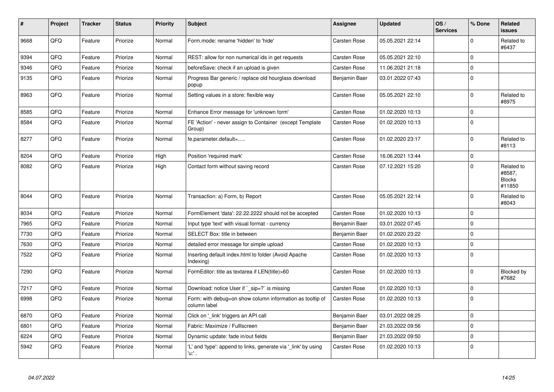| #    | Project | <b>Tracker</b> | <b>Status</b> | <b>Priority</b> | <b>Subject</b>                                                            | <b>Assignee</b>     | <b>Updated</b>   | OS/<br><b>Services</b> | % Done      | Related<br><b>issues</b>                        |
|------|---------|----------------|---------------|-----------------|---------------------------------------------------------------------------|---------------------|------------------|------------------------|-------------|-------------------------------------------------|
| 9668 | QFQ     | Feature        | Priorize      | Normal          | Form.mode: rename 'hidden' to 'hide'                                      | Carsten Rose        | 05.05.2021 22:14 |                        | $\Omega$    | Related to<br>#6437                             |
| 9394 | QFQ     | Feature        | Priorize      | Normal          | REST: allow for non numerical ids in get requests                         | <b>Carsten Rose</b> | 05.05.2021 22:10 |                        | 0           |                                                 |
| 9346 | QFQ     | Feature        | Priorize      | Normal          | beforeSave: check if an upload is given                                   | Carsten Rose        | 11.06.2021 21:18 |                        | 0           |                                                 |
| 9135 | QFQ     | Feature        | Priorize      | Normal          | Progress Bar generic / replace old hourglass download<br>popup            | Benjamin Baer       | 03.01.2022 07:43 |                        | $\mathbf 0$ |                                                 |
| 8963 | QFQ     | Feature        | Priorize      | Normal          | Setting values in a store: flexible way                                   | Carsten Rose        | 05.05.2021 22:10 |                        | $\Omega$    | Related to<br>#8975                             |
| 8585 | QFQ     | Feature        | Priorize      | Normal          | Enhance Error message for 'unknown form'                                  | Carsten Rose        | 01.02.2020 10:13 |                        | $\Omega$    |                                                 |
| 8584 | QFQ     | Feature        | Priorize      | Normal          | FE 'Action' - never assign to Container (except Template<br>Group)        | <b>Carsten Rose</b> | 01.02.2020 10:13 |                        | $\Omega$    |                                                 |
| 8277 | QFQ     | Feature        | Priorize      | Normal          | fe.parameter.default=                                                     | <b>Carsten Rose</b> | 01.02.2020 23:17 |                        | 0           | Related to<br>#8113                             |
| 8204 | QFQ     | Feature        | Priorize      | High            | Position 'required mark'                                                  | <b>Carsten Rose</b> | 16.06.2021 13:44 |                        | $\mathbf 0$ |                                                 |
| 8082 | QFQ     | Feature        | Priorize      | High            | Contact form without saving record                                        | <b>Carsten Rose</b> | 07.12.2021 15:20 |                        | $\Omega$    | Related to<br>#8587,<br><b>Blocks</b><br>#11850 |
| 8044 | QFQ     | Feature        | Priorize      | Normal          | Transaction: a) Form, b) Report                                           | Carsten Rose        | 05.05.2021 22:14 |                        | $\Omega$    | Related to<br>#8043                             |
| 8034 | QFQ     | Feature        | Priorize      | Normal          | FormElement 'data': 22.22.2222 should not be accepted                     | <b>Carsten Rose</b> | 01.02.2020 10:13 |                        | $\Omega$    |                                                 |
| 7965 | QFQ     | Feature        | Priorize      | Normal          | Input type 'text' with visual format - currency                           | Benjamin Baer       | 03.01.2022 07:45 |                        | $\Omega$    |                                                 |
| 7730 | QFQ     | Feature        | Priorize      | Normal          | SELECT Box: title in between                                              | Benjamin Baer       | 01.02.2020 23:22 |                        | $\Omega$    |                                                 |
| 7630 | QFQ     | Feature        | Priorize      | Normal          | detailed error message for simple upload                                  | <b>Carsten Rose</b> | 01.02.2020 10:13 |                        | $\mathbf 0$ |                                                 |
| 7522 | QFQ     | Feature        | Priorize      | Normal          | Inserting default index.html to folder (Avoid Apache<br>Indexing)         | Carsten Rose        | 01.02.2020 10:13 |                        | $\Omega$    |                                                 |
| 7290 | QFQ     | Feature        | Priorize      | Normal          | FormEditor: title as textarea if LEN(title)>60                            | <b>Carsten Rose</b> | 01.02.2020 10:13 |                        | $\mathbf 0$ | Blocked by<br>#7682                             |
| 7217 | QFQ     | Feature        | Priorize      | Normal          | Download: notice User if `_sip=?` is missing                              | Carsten Rose        | 01.02.2020 10:13 |                        | $\Omega$    |                                                 |
| 6998 | QFQ     | Feature        | Priorize      | Normal          | Form: with debug=on show column information as tooltip of<br>column label | Carsten Rose        | 01.02.2020 10:13 |                        | $\mathbf 0$ |                                                 |
| 6870 | QFQ     | Feature        | Priorize      | Normal          | Click on '_link' triggers an API call                                     | Benjamin Baer       | 03.01.2022 08:25 |                        | $\mathbf 0$ |                                                 |
| 6801 | QFQ     | Feature        | Priorize      | Normal          | Fabric: Maximize / Fulllscreen                                            | Benjamin Baer       | 21.03.2022 09:56 |                        | $\Omega$    |                                                 |
| 6224 | QFQ     | Feature        | Priorize      | Normal          | Dynamic update: fade in/out fields                                        | Benjamin Baer       | 21.03.2022 09:50 |                        | $\Omega$    |                                                 |
| 5942 | QFQ     | Feature        | Priorize      | Normal          | 'L' and 'type': append to links, generate via 'link' by using<br>u. .     | <b>Carsten Rose</b> | 01.02.2020 10:13 |                        | $\Omega$    |                                                 |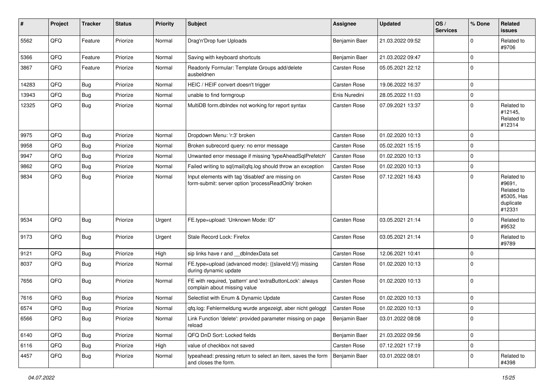| $\vert$ # | Project | <b>Tracker</b> | <b>Status</b> | <b>Priority</b> | Subject                                                                                                  | <b>Assignee</b>     | <b>Updated</b>   | OS/<br><b>Services</b> | % Done      | Related<br><b>issues</b>                                                |
|-----------|---------|----------------|---------------|-----------------|----------------------------------------------------------------------------------------------------------|---------------------|------------------|------------------------|-------------|-------------------------------------------------------------------------|
| 5562      | QFQ     | Feature        | Priorize      | Normal          | Drag'n'Drop fuer Uploads                                                                                 | Benjamin Baer       | 21.03.2022 09:52 |                        | $\Omega$    | Related to<br>#9706                                                     |
| 5366      | QFQ     | Feature        | Priorize      | Normal          | Saving with keyboard shortcuts                                                                           | Benjamin Baer       | 21.03.2022 09:47 |                        | $\mathbf 0$ |                                                                         |
| 3867      | QFQ     | Feature        | Priorize      | Normal          | Readonly Formular: Template Groups add/delete<br>ausbeldnen                                              | <b>Carsten Rose</b> | 05.05.2021 22:12 |                        | $\mathbf 0$ |                                                                         |
| 14283     | QFQ     | Bug            | Priorize      | Normal          | HEIC / HEIF convert doesn't trigger                                                                      | Carsten Rose        | 19.06.2022 16:37 |                        | $\mathbf 0$ |                                                                         |
| 13943     | QFQ     | Bug            | Priorize      | Normal          | unable to find formgroup                                                                                 | Enis Nuredini       | 28.05.2022 11:03 |                        | 0           |                                                                         |
| 12325     | QFQ     | Bug            | Priorize      | Normal          | MultiDB form.dblndex not working for report syntax                                                       | Carsten Rose        | 07.09.2021 13:37 |                        | $\mathbf 0$ | Related to<br>#12145,<br>Related to<br>#12314                           |
| 9975      | QFQ     | Bug            | Priorize      | Normal          | Dropdown Menu: 'r:3' broken                                                                              | Carsten Rose        | 01.02.2020 10:13 |                        | $\mathbf 0$ |                                                                         |
| 9958      | QFQ     | <b>Bug</b>     | Priorize      | Normal          | Broken subrecord query: no error message                                                                 | <b>Carsten Rose</b> | 05.02.2021 15:15 |                        | $\mathbf 0$ |                                                                         |
| 9947      | QFQ     | Bug            | Priorize      | Normal          | Unwanted error message if missing 'typeAheadSqlPrefetch'                                                 | Carsten Rose        | 01.02.2020 10:13 |                        | $\mathbf 0$ |                                                                         |
| 9862      | QFQ     | Bug            | Priorize      | Normal          | Failed writing to sql mail qfq.log should throw an exception                                             | <b>Carsten Rose</b> | 01.02.2020 10:13 |                        | $\mathbf 0$ |                                                                         |
| 9834      | QFQ     | Bug            | Priorize      | Normal          | Input elements with tag 'disabled' are missing on<br>form-submit: server option 'processReadOnly' broken | Carsten Rose        | 07.12.2021 16:43 |                        | $\mathbf 0$ | Related to<br>#9691,<br>Related to<br>#5305, Has<br>duplicate<br>#12331 |
| 9534      | QFQ     | <b>Bug</b>     | Priorize      | Urgent          | FE.type=upload: 'Unknown Mode: ID"                                                                       | <b>Carsten Rose</b> | 03.05.2021 21:14 |                        | $\mathbf 0$ | Related to<br>#9532                                                     |
| 9173      | QFQ     | <b>Bug</b>     | Priorize      | Urgent          | Stale Record Lock: Firefox                                                                               | Carsten Rose        | 03.05.2021 21:14 |                        | 0           | Related to<br>#9789                                                     |
| 9121      | QFQ     | <b>Bug</b>     | Priorize      | High            | sip links have r and __dbIndexData set                                                                   | Carsten Rose        | 12.06.2021 10:41 |                        | $\mathbf 0$ |                                                                         |
| 8037      | QFQ     | Bug            | Priorize      | Normal          | FE.type=upload (advanced mode): {{slaveld:V}} missing<br>during dynamic update                           | Carsten Rose        | 01.02.2020 10:13 |                        | $\mathbf 0$ |                                                                         |
| 7656      | QFQ     | <b>Bug</b>     | Priorize      | Normal          | FE with required, 'pattern' and 'extraButtonLock': always<br>complain about missing value                | <b>Carsten Rose</b> | 01.02.2020 10:13 |                        | $\mathbf 0$ |                                                                         |
| 7616      | QFQ     | Bug            | Priorize      | Normal          | Selectlist with Enum & Dynamic Update                                                                    | Carsten Rose        | 01.02.2020 10:13 |                        | $\mathbf 0$ |                                                                         |
| 6574      | QFQ     | Bug            | Priorize      | Normal          | qfq.log: Fehlermeldung wurde angezeigt, aber nicht geloggt                                               | Carsten Rose        | 01.02.2020 10:13 |                        | 0           |                                                                         |
| 6566      | QFO     | <b>Bug</b>     | Priorize      | Normal          | Link Function 'delete': provided parameter missing on page<br>reload                                     | Benjamin Baer       | 03.01.2022 08:08 |                        | 0           |                                                                         |
| 6140      | QFQ     | Bug            | Priorize      | Normal          | QFQ DnD Sort: Locked fields                                                                              | Benjamin Baer       | 21.03.2022 09:56 |                        | $\mathbf 0$ |                                                                         |
| 6116      | QFQ     | Bug            | Priorize      | High            | value of checkbox not saved                                                                              | Carsten Rose        | 07.12.2021 17:19 |                        | $\mathbf 0$ |                                                                         |
| 4457      | QFQ     | <b>Bug</b>     | Priorize      | Normal          | typeahead: pressing return to select an item, saves the form<br>and closes the form.                     | Benjamin Baer       | 03.01.2022 08:01 |                        | 0           | Related to<br>#4398                                                     |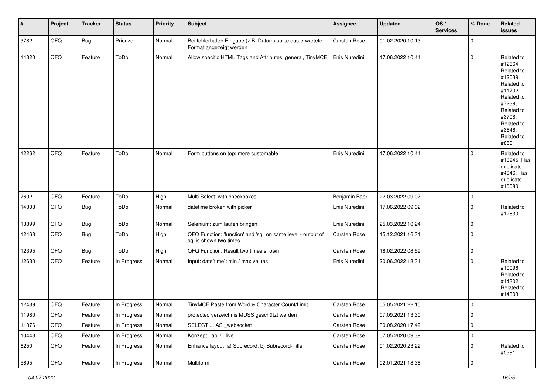| #     | Project | <b>Tracker</b> | <b>Status</b> | <b>Priority</b> | <b>Subject</b>                                                                          | <b>Assignee</b>     | <b>Updated</b>   | OS/<br><b>Services</b> | % Done              | Related<br>issues                                                                                                                                                     |
|-------|---------|----------------|---------------|-----------------|-----------------------------------------------------------------------------------------|---------------------|------------------|------------------------|---------------------|-----------------------------------------------------------------------------------------------------------------------------------------------------------------------|
| 3782  | QFQ     | <b>Bug</b>     | Priorize      | Normal          | Bei fehlerhafter Eingabe (z.B. Datum) sollte das erwartete<br>Format angezeigt werden   | Carsten Rose        | 01.02.2020 10:13 |                        | 0                   |                                                                                                                                                                       |
| 14320 | QFQ     | Feature        | ToDo          | Normal          | Allow specific HTML Tags and Attributes: general, TinyMCE                               | Enis Nuredini       | 17.06.2022 10:44 |                        | $\mathbf 0$         | Related to<br>#12664,<br>Related to<br>#12039,<br>Related to<br>#11702,<br>Related to<br>#7239,<br>Related to<br>#3708,<br>Related to<br>#3646,<br>Related to<br>#880 |
| 12262 | QFQ     | Feature        | ToDo          | Normal          | Form buttons on top: more customable                                                    | Enis Nuredini       | 17.06.2022 10:44 |                        | $\mathbf 0$         | Related to<br>#13945, Has<br>duplicate<br>#4046, Has<br>duplicate<br>#10080                                                                                           |
| 7602  | QFQ     | Feature        | ToDo          | High            | Multi Select: with checkboxes                                                           | Benjamin Baer       | 22.03.2022 09:07 |                        | 0                   |                                                                                                                                                                       |
| 14303 | QFQ     | Bug            | ToDo          | Normal          | datetime broken with picker                                                             | Enis Nuredini       | 17.06.2022 09:02 |                        | $\mathbf 0$         | Related to<br>#12630                                                                                                                                                  |
| 13899 | QFQ     | Bug            | ToDo          | Normal          | Selenium: zum laufen bringen                                                            | Enis Nuredini       | 25.03.2022 10:24 |                        | 0                   |                                                                                                                                                                       |
| 12463 | QFQ     | <b>Bug</b>     | ToDo          | High            | QFQ Function: 'function' and 'sql' on same level - output of<br>sql is shown two times. | Carsten Rose        | 15.12.2021 16:31 |                        | $\mathbf 0$         |                                                                                                                                                                       |
| 12395 | QFQ     | <b>Bug</b>     | ToDo          | High            | QFQ Function: Result two times shown                                                    | Carsten Rose        | 18.02.2022 08:59 |                        | $\mathbf 0$         |                                                                                                                                                                       |
| 12630 | QFQ     | Feature        | In Progress   | Normal          | Input: date[time]: min / max values                                                     | Enis Nuredini       | 20.06.2022 18:31 |                        | $\mathbf 0$         | Related to<br>#10096,<br>Related to<br>#14302,<br>Related to<br>#14303                                                                                                |
| 12439 | QFQ     | Feature        | In Progress   | Normal          | TinyMCE Paste from Word & Character Count/Limit                                         | <b>Carsten Rose</b> | 05.05.2021 22:15 |                        | $\mathbf 0$         |                                                                                                                                                                       |
| 11980 | QFQ     | Feature        | In Progress   | Normal          | protected verzeichnis MUSS geschützt werden                                             | Carsten Rose        | 07.09.2021 13:30 |                        | 0                   |                                                                                                                                                                       |
| 11076 | QFQ     | Feature        | In Progress   | Normal          | SELECT  AS websocket                                                                    | Carsten Rose        | 30.08.2020 17:49 |                        | $\mathbf 0$         |                                                                                                                                                                       |
| 10443 | QFQ     | Feature        | In Progress   | Normal          | Konzept_api / _live                                                                     | Carsten Rose        | 07.05.2020 09:39 |                        | $\mathsf 0$         |                                                                                                                                                                       |
| 6250  | QFQ     | Feature        | In Progress   | Normal          | Enhance layout: a) Subrecord, b) Subrecord-Title                                        | Carsten Rose        | 01.02.2020 23:22 |                        | 0                   | Related to<br>#5391                                                                                                                                                   |
| 5695  | QFQ     | Feature        | In Progress   | Normal          | Multiform                                                                               | Carsten Rose        | 02.01.2021 18:38 |                        | $\mathsf{O}\xspace$ |                                                                                                                                                                       |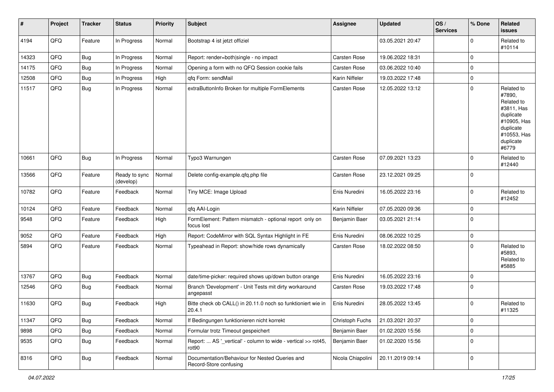| #     | Project | <b>Tracker</b> | <b>Status</b>              | <b>Priority</b> | <b>Subject</b>                                                           | Assignee            | <b>Updated</b>   | OS/<br><b>Services</b> | % Done      | Related<br><b>issues</b>                                                                                                       |
|-------|---------|----------------|----------------------------|-----------------|--------------------------------------------------------------------------|---------------------|------------------|------------------------|-------------|--------------------------------------------------------------------------------------------------------------------------------|
| 4194  | QFQ     | Feature        | In Progress                | Normal          | Bootstrap 4 ist jetzt offiziel                                           |                     | 03.05.2021 20:47 |                        | 0           | Related to<br>#10114                                                                                                           |
| 14323 | QFQ     | <b>Bug</b>     | In Progress                | Normal          | Report: render=both single - no impact                                   | <b>Carsten Rose</b> | 19.06.2022 18:31 |                        | $\mathbf 0$ |                                                                                                                                |
| 14175 | QFQ     | Bug            | In Progress                | Normal          | Opening a form with no QFQ Session cookie fails                          | <b>Carsten Rose</b> | 03.06.2022 10:40 |                        | 0           |                                                                                                                                |
| 12508 | QFQ     | <b>Bug</b>     | In Progress                | High            | qfq Form: sendMail                                                       | Karin Niffeler      | 19.03.2022 17:48 |                        | 0           |                                                                                                                                |
| 11517 | QFQ     | <b>Bug</b>     | In Progress                | Normal          | extraButtonInfo Broken for multiple FormElements                         | Carsten Rose        | 12.05.2022 13:12 |                        | 0           | Related to<br>#7890,<br>Related to<br>#3811, Has<br>duplicate<br>#10905, Has<br>duplicate<br>#10553, Has<br>duplicate<br>#6779 |
| 10661 | QFQ     | <b>Bug</b>     | In Progress                | Normal          | Typo3 Warnungen                                                          | <b>Carsten Rose</b> | 07.09.2021 13:23 |                        | 0           | Related to<br>#12440                                                                                                           |
| 13566 | QFQ     | Feature        | Ready to sync<br>(develop) | Normal          | Delete config-example.qfq.php file                                       | <b>Carsten Rose</b> | 23.12.2021 09:25 |                        | $\mathbf 0$ |                                                                                                                                |
| 10782 | QFQ     | Feature        | Feedback                   | Normal          | Tiny MCE: Image Upload                                                   | Enis Nuredini       | 16.05.2022 23:16 |                        | $\Omega$    | Related to<br>#12452                                                                                                           |
| 10124 | QFQ     | Feature        | Feedback                   | Normal          | qfq AAI-Login                                                            | Karin Niffeler      | 07.05.2020 09:36 |                        | 0           |                                                                                                                                |
| 9548  | QFQ     | Feature        | Feedback                   | High            | FormElement: Pattern mismatch - optional report only on<br>focus lost    | Benjamin Baer       | 03.05.2021 21:14 |                        | 0           |                                                                                                                                |
| 9052  | QFQ     | Feature        | Feedback                   | High            | Report: CodeMirror with SQL Syntax Highlight in FE                       | Enis Nuredini       | 08.06.2022 10:25 |                        | $\mathbf 0$ |                                                                                                                                |
| 5894  | QFQ     | Feature        | Feedback                   | Normal          | Typeahead in Report: show/hide rows dynamically                          | Carsten Rose        | 18.02.2022 08:50 |                        | $\mathbf 0$ | Related to<br>#5893,<br>Related to<br>#5885                                                                                    |
| 13767 | QFQ     | Bug            | Feedback                   | Normal          | date/time-picker: required shows up/down button orange                   | Enis Nuredini       | 16.05.2022 23:16 |                        | 0           |                                                                                                                                |
| 12546 | QFQ     | Bug            | Feedback                   | Normal          | Branch 'Development' - Unit Tests mit dirty workaround<br>angepasst      | Carsten Rose        | 19.03.2022 17:48 |                        | $\Omega$    |                                                                                                                                |
| 11630 | QFQ     | <b>Bug</b>     | Feedback                   | High            | Bitte check ob CALL() in 20.11.0 noch so funktioniert wie in<br>20.4.1   | Enis Nuredini       | 28.05.2022 13:45 |                        | 0           | Related to<br>#11325                                                                                                           |
| 11347 | QFQ     | <b>Bug</b>     | Feedback                   | Normal          | If Bedingungen funktionieren nicht korrekt                               | Christoph Fuchs     | 21.03.2021 20:37 |                        | 0           |                                                                                                                                |
| 9898  | QFQ     | <b>Bug</b>     | Feedback                   | Normal          | Formular trotz Timeout gespeichert                                       | Benjamin Baer       | 01.02.2020 15:56 |                        | $\mathbf 0$ |                                                                                                                                |
| 9535  | QFQ     | Bug            | Feedback                   | Normal          | Report:  AS '_vertical' - column to wide - vertical >> rot45,<br>rot90   | Benjamin Baer       | 01.02.2020 15:56 |                        | $\mathbf 0$ |                                                                                                                                |
| 8316  | QFQ     | Bug            | Feedback                   | Normal          | Documentation/Behaviour for Nested Queries and<br>Record-Store confusing | Nicola Chiapolini   | 20.11.2019 09:14 |                        | $\mathbf 0$ |                                                                                                                                |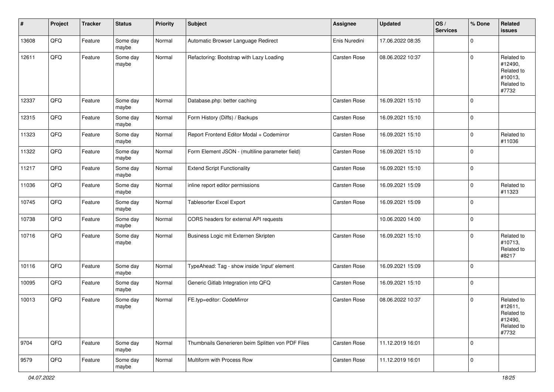| #     | Project | <b>Tracker</b> | <b>Status</b>     | <b>Priority</b> | <b>Subject</b>                                    | <b>Assignee</b>     | <b>Updated</b>   | OS/<br><b>Services</b> | % Done      | Related<br><b>issues</b>                                              |
|-------|---------|----------------|-------------------|-----------------|---------------------------------------------------|---------------------|------------------|------------------------|-------------|-----------------------------------------------------------------------|
| 13608 | QFQ     | Feature        | Some day<br>maybe | Normal          | Automatic Browser Language Redirect               | Enis Nuredini       | 17.06.2022 08:35 |                        | $\mathbf 0$ |                                                                       |
| 12611 | QFQ     | Feature        | Some day<br>maybe | Normal          | Refactoring: Bootstrap with Lazy Loading          | Carsten Rose        | 08.06.2022 10:37 |                        | $\mathbf 0$ | Related to<br>#12490,<br>Related to<br>#10013,<br>Related to<br>#7732 |
| 12337 | QFQ     | Feature        | Some day<br>maybe | Normal          | Database.php: better caching                      | <b>Carsten Rose</b> | 16.09.2021 15:10 |                        | $\mathbf 0$ |                                                                       |
| 12315 | QFQ     | Feature        | Some day<br>maybe | Normal          | Form History (Diffs) / Backups                    | Carsten Rose        | 16.09.2021 15:10 |                        | $\mathbf 0$ |                                                                       |
| 11323 | QFQ     | Feature        | Some day<br>maybe | Normal          | Report Frontend Editor Modal + Codemirror         | Carsten Rose        | 16.09.2021 15:10 |                        | 0           | Related to<br>#11036                                                  |
| 11322 | QFQ     | Feature        | Some day<br>maybe | Normal          | Form Element JSON - (multiline parameter field)   | Carsten Rose        | 16.09.2021 15:10 |                        | $\mathbf 0$ |                                                                       |
| 11217 | QFQ     | Feature        | Some day<br>maybe | Normal          | <b>Extend Script Functionality</b>                | <b>Carsten Rose</b> | 16.09.2021 15:10 |                        | $\mathbf 0$ |                                                                       |
| 11036 | QFQ     | Feature        | Some day<br>maybe | Normal          | inline report editor permissions                  | <b>Carsten Rose</b> | 16.09.2021 15:09 |                        | $\mathbf 0$ | Related to<br>#11323                                                  |
| 10745 | QFQ     | Feature        | Some day<br>maybe | Normal          | Tablesorter Excel Export                          | <b>Carsten Rose</b> | 16.09.2021 15:09 |                        | $\mathbf 0$ |                                                                       |
| 10738 | QFQ     | Feature        | Some day<br>maybe | Normal          | CORS headers for external API requests            |                     | 10.06.2020 14:00 |                        | $\mathbf 0$ |                                                                       |
| 10716 | QFQ     | Feature        | Some day<br>maybe | Normal          | Business Logic mit Externen Skripten              | Carsten Rose        | 16.09.2021 15:10 |                        | $\mathbf 0$ | Related to<br>#10713,<br>Related to<br>#8217                          |
| 10116 | QFQ     | Feature        | Some day<br>maybe | Normal          | TypeAhead: Tag - show inside 'input' element      | <b>Carsten Rose</b> | 16.09.2021 15:09 |                        | $\mathbf 0$ |                                                                       |
| 10095 | QFQ     | Feature        | Some day<br>maybe | Normal          | Generic Gitlab Integration into QFQ               | Carsten Rose        | 16.09.2021 15:10 |                        | $\mathbf 0$ |                                                                       |
| 10013 | QFQ     | Feature        | Some day<br>maybe | Normal          | FE.typ=editor: CodeMirror                         | <b>Carsten Rose</b> | 08.06.2022 10:37 |                        | $\mathbf 0$ | Related to<br>#12611,<br>Related to<br>#12490,<br>Related to<br>#7732 |
| 9704  | QFQ     | Feature        | Some day<br>maybe | Normal          | Thumbnails Generieren beim Splitten von PDF Files | Carsten Rose        | 11.12.2019 16:01 |                        | $\mathbf 0$ |                                                                       |
| 9579  | QFQ     | Feature        | Some day<br>maybe | Normal          | Multiform with Process Row                        | Carsten Rose        | 11.12.2019 16:01 |                        | $\mathbf 0$ |                                                                       |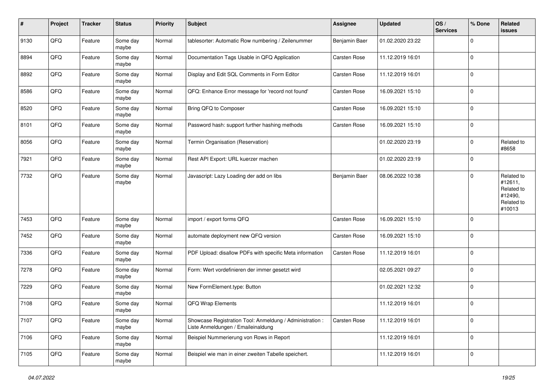| #    | Project | <b>Tracker</b> | <b>Status</b>     | <b>Priority</b> | Subject                                                                                        | <b>Assignee</b>     | <b>Updated</b>   | OS/<br><b>Services</b> | % Done      | Related<br><b>issues</b>                                               |
|------|---------|----------------|-------------------|-----------------|------------------------------------------------------------------------------------------------|---------------------|------------------|------------------------|-------------|------------------------------------------------------------------------|
| 9130 | QFQ     | Feature        | Some day<br>maybe | Normal          | tablesorter: Automatic Row numbering / Zeilenummer                                             | Benjamin Baer       | 01.02.2020 23:22 |                        | $\mathbf 0$ |                                                                        |
| 8894 | QFQ     | Feature        | Some day<br>maybe | Normal          | Documentation Tags Usable in QFQ Application                                                   | Carsten Rose        | 11.12.2019 16:01 |                        | $\mathbf 0$ |                                                                        |
| 8892 | QFQ     | Feature        | Some day<br>maybe | Normal          | Display and Edit SQL Comments in Form Editor                                                   | Carsten Rose        | 11.12.2019 16:01 |                        | $\mathbf 0$ |                                                                        |
| 8586 | QFQ     | Feature        | Some day<br>maybe | Normal          | QFQ: Enhance Error message for 'record not found'                                              | Carsten Rose        | 16.09.2021 15:10 |                        | 0           |                                                                        |
| 8520 | QFQ     | Feature        | Some day<br>maybe | Normal          | Bring QFQ to Composer                                                                          | <b>Carsten Rose</b> | 16.09.2021 15:10 |                        | $\mathbf 0$ |                                                                        |
| 8101 | QFQ     | Feature        | Some day<br>maybe | Normal          | Password hash: support further hashing methods                                                 | Carsten Rose        | 16.09.2021 15:10 |                        | $\mathbf 0$ |                                                                        |
| 8056 | QFQ     | Feature        | Some day<br>maybe | Normal          | Termin Organisation (Reservation)                                                              |                     | 01.02.2020 23:19 |                        | $\mathbf 0$ | Related to<br>#8658                                                    |
| 7921 | QFQ     | Feature        | Some day<br>maybe | Normal          | Rest API Export: URL kuerzer machen                                                            |                     | 01.02.2020 23:19 |                        | 0           |                                                                        |
| 7732 | QFQ     | Feature        | Some day<br>maybe | Normal          | Javascript: Lazy Loading der add on libs                                                       | Benjamin Baer       | 08.06.2022 10:38 |                        | $\mathbf 0$ | Related to<br>#12611,<br>Related to<br>#12490,<br>Related to<br>#10013 |
| 7453 | QFQ     | Feature        | Some day<br>maybe | Normal          | import / export forms QFQ                                                                      | <b>Carsten Rose</b> | 16.09.2021 15:10 |                        | $\mathbf 0$ |                                                                        |
| 7452 | QFQ     | Feature        | Some day<br>maybe | Normal          | automate deployment new QFQ version                                                            | Carsten Rose        | 16.09.2021 15:10 |                        | $\mathbf 0$ |                                                                        |
| 7336 | QFQ     | Feature        | Some day<br>maybe | Normal          | PDF Upload: disallow PDFs with specific Meta information                                       | <b>Carsten Rose</b> | 11.12.2019 16:01 |                        | $\mathbf 0$ |                                                                        |
| 7278 | QFQ     | Feature        | Some day<br>maybe | Normal          | Form: Wert vordefinieren der immer gesetzt wird                                                |                     | 02.05.2021 09:27 |                        | $\mathbf 0$ |                                                                        |
| 7229 | QFQ     | Feature        | Some day<br>maybe | Normal          | New FormElement.type: Button                                                                   |                     | 01.02.2021 12:32 |                        | $\mathbf 0$ |                                                                        |
| 7108 | QFQ     | Feature        | Some day<br>maybe | Normal          | QFQ Wrap Elements                                                                              |                     | 11.12.2019 16:01 |                        | 0           |                                                                        |
| 7107 | QFG     | Feature        | Some day<br>maybe | Normal          | Showcase Registration Tool: Anmeldung / Administration :<br>Liste Anmeldungen / Emaileinaldung | Carsten Rose        | 11.12.2019 16:01 |                        | 0           |                                                                        |
| 7106 | QFQ     | Feature        | Some day<br>maybe | Normal          | Beispiel Nummerierung von Rows in Report                                                       |                     | 11.12.2019 16:01 |                        | 0           |                                                                        |
| 7105 | QFQ     | Feature        | Some day<br>maybe | Normal          | Beispiel wie man in einer zweiten Tabelle speichert.                                           |                     | 11.12.2019 16:01 |                        | $\mathbf 0$ |                                                                        |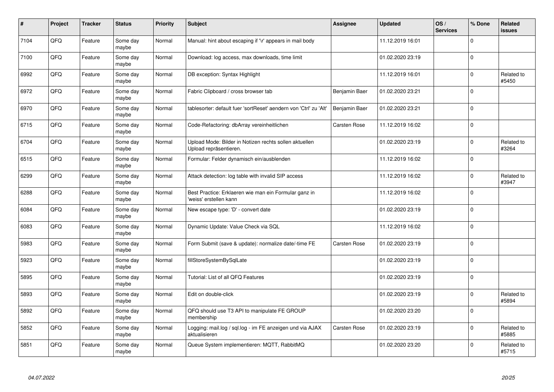| #    | Project | <b>Tracker</b> | <b>Status</b>     | <b>Priority</b> | Subject                                                                          | <b>Assignee</b>     | <b>Updated</b>   | OS/<br><b>Services</b> | % Done       | Related<br><b>issues</b> |
|------|---------|----------------|-------------------|-----------------|----------------------------------------------------------------------------------|---------------------|------------------|------------------------|--------------|--------------------------|
| 7104 | QFQ     | Feature        | Some day<br>maybe | Normal          | Manual: hint about escaping if '\r' appears in mail body                         |                     | 11.12.2019 16:01 |                        | $\Omega$     |                          |
| 7100 | QFQ     | Feature        | Some day<br>maybe | Normal          | Download: log access, max downloads, time limit                                  |                     | 01.02.2020 23:19 |                        | $\mathbf{0}$ |                          |
| 6992 | QFQ     | Feature        | Some day<br>maybe | Normal          | DB exception: Syntax Highlight                                                   |                     | 11.12.2019 16:01 |                        | $\Omega$     | Related to<br>#5450      |
| 6972 | QFQ     | Feature        | Some day<br>maybe | Normal          | Fabric Clipboard / cross browser tab                                             | Benjamin Baer       | 01.02.2020 23:21 |                        | $\Omega$     |                          |
| 6970 | QFQ     | Feature        | Some day<br>maybe | Normal          | tablesorter: default fuer 'sortReset' aendern von 'Ctrl' zu 'Alt'                | Benjamin Baer       | 01.02.2020 23:21 |                        | $\mathbf 0$  |                          |
| 6715 | QFQ     | Feature        | Some day<br>maybe | Normal          | Code-Refactoring: dbArray vereinheitlichen                                       | Carsten Rose        | 11.12.2019 16:02 |                        | $\mathbf{0}$ |                          |
| 6704 | QFQ     | Feature        | Some day<br>maybe | Normal          | Upload Mode: Bilder in Notizen rechts sollen aktuellen<br>Upload repräsentieren. |                     | 01.02.2020 23:19 |                        | $\mathbf 0$  | Related to<br>#3264      |
| 6515 | QFQ     | Feature        | Some day<br>maybe | Normal          | Formular: Felder dynamisch ein/ausblenden                                        |                     | 11.12.2019 16:02 |                        | $\Omega$     |                          |
| 6299 | QFQ     | Feature        | Some day<br>maybe | Normal          | Attack detection: log table with invalid SIP access                              |                     | 11.12.2019 16:02 |                        | $\Omega$     | Related to<br>#3947      |
| 6288 | QFQ     | Feature        | Some day<br>maybe | Normal          | Best Practice: Erklaeren wie man ein Formular ganz in<br>'weiss' erstellen kann  |                     | 11.12.2019 16:02 |                        | $\mathbf 0$  |                          |
| 6084 | QFQ     | Feature        | Some day<br>maybe | Normal          | New escape type: 'D' - convert date                                              |                     | 01.02.2020 23:19 |                        | $\mathbf 0$  |                          |
| 6083 | QFQ     | Feature        | Some day<br>maybe | Normal          | Dynamic Update: Value Check via SQL                                              |                     | 11.12.2019 16:02 |                        | $\mathbf 0$  |                          |
| 5983 | QFQ     | Feature        | Some day<br>maybe | Normal          | Form Submit (save & update): normalize date/-time FE                             | <b>Carsten Rose</b> | 01.02.2020 23:19 |                        | $\mathbf 0$  |                          |
| 5923 | QFQ     | Feature        | Some day<br>maybe | Normal          | fillStoreSystemBySqlLate                                                         |                     | 01.02.2020 23:19 |                        | 0            |                          |
| 5895 | QFQ     | Feature        | Some day<br>maybe | Normal          | Tutorial: List of all QFQ Features                                               |                     | 01.02.2020 23:19 |                        | $\Omega$     |                          |
| 5893 | QFQ     | Feature        | Some day<br>maybe | Normal          | Edit on double-click                                                             |                     | 01.02.2020 23:19 |                        | $\Omega$     | Related to<br>#5894      |
| 5892 | QFQ     | Feature        | Some day<br>maybe | Normal          | QFQ should use T3 API to manipulate FE GROUP<br>membership                       |                     | 01.02.2020 23:20 |                        | 0            |                          |
| 5852 | QFG     | Feature        | Some day<br>maybe | Normal          | Logging: mail.log / sql.log - im FE anzeigen und via AJAX<br>aktualisieren       | Carsten Rose        | 01.02.2020 23:19 |                        | 0            | Related to<br>#5885      |
| 5851 | QFQ     | Feature        | Some day<br>maybe | Normal          | Queue System implementieren: MQTT, RabbitMQ                                      |                     | 01.02.2020 23:20 |                        | $\Omega$     | Related to<br>#5715      |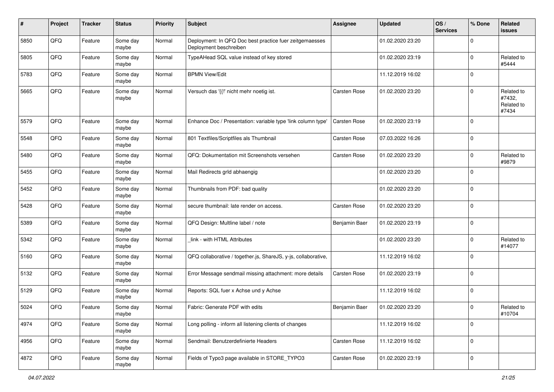| #    | Project | <b>Tracker</b> | <b>Status</b>     | <b>Priority</b> | <b>Subject</b>                                                                    | <b>Assignee</b> | <b>Updated</b>   | OS/<br><b>Services</b> | % Done      | Related<br>issues                           |
|------|---------|----------------|-------------------|-----------------|-----------------------------------------------------------------------------------|-----------------|------------------|------------------------|-------------|---------------------------------------------|
| 5850 | QFQ     | Feature        | Some day<br>maybe | Normal          | Deployment: In QFQ Doc best practice fuer zeitgemaesses<br>Deployment beschreiben |                 | 01.02.2020 23:20 |                        | $\Omega$    |                                             |
| 5805 | QFQ     | Feature        | Some day<br>maybe | Normal          | TypeAHead SQL value instead of key stored                                         |                 | 01.02.2020 23:19 |                        | $\mathbf 0$ | Related to<br>#5444                         |
| 5783 | QFQ     | Feature        | Some day<br>maybe | Normal          | <b>BPMN View/Edit</b>                                                             |                 | 11.12.2019 16:02 |                        | $\mathbf 0$ |                                             |
| 5665 | QFQ     | Feature        | Some day<br>maybe | Normal          | Versuch das '{{!' nicht mehr noetig ist.                                          | Carsten Rose    | 01.02.2020 23:20 |                        | $\mathbf 0$ | Related to<br>#7432,<br>Related to<br>#7434 |
| 5579 | QFQ     | Feature        | Some day<br>maybe | Normal          | Enhance Doc / Presentation: variable type 'link column type'                      | Carsten Rose    | 01.02.2020 23:19 |                        | 0           |                                             |
| 5548 | QFQ     | Feature        | Some day<br>maybe | Normal          | 801 Textfiles/Scriptfiles als Thumbnail                                           | Carsten Rose    | 07.03.2022 16:26 |                        | $\mathbf 0$ |                                             |
| 5480 | QFQ     | Feature        | Some day<br>maybe | Normal          | QFQ: Dokumentation mit Screenshots versehen                                       | Carsten Rose    | 01.02.2020 23:20 |                        | $\mathbf 0$ | Related to<br>#9879                         |
| 5455 | QFQ     | Feature        | Some day<br>maybe | Normal          | Mail Redirects grld abhaengig                                                     |                 | 01.02.2020 23:20 |                        | $\Omega$    |                                             |
| 5452 | QFQ     | Feature        | Some day<br>maybe | Normal          | Thumbnails from PDF: bad quality                                                  |                 | 01.02.2020 23:20 |                        | $\mathbf 0$ |                                             |
| 5428 | QFQ     | Feature        | Some day<br>maybe | Normal          | secure thumbnail: late render on access.                                          | Carsten Rose    | 01.02.2020 23:20 |                        | $\mathbf 0$ |                                             |
| 5389 | QFQ     | Feature        | Some day<br>maybe | Normal          | QFQ Design: Multline label / note                                                 | Benjamin Baer   | 01.02.2020 23:19 |                        | $\mathbf 0$ |                                             |
| 5342 | QFQ     | Feature        | Some day<br>maybe | Normal          | link - with HTML Attributes                                                       |                 | 01.02.2020 23:20 |                        | $\mathbf 0$ | Related to<br>#14077                        |
| 5160 | QFQ     | Feature        | Some day<br>maybe | Normal          | QFQ collaborative / together.js, ShareJS, y-js, collaborative,                    |                 | 11.12.2019 16:02 |                        | $\mathbf 0$ |                                             |
| 5132 | QFQ     | Feature        | Some day<br>maybe | Normal          | Error Message sendmail missing attachment: more details                           | Carsten Rose    | 01.02.2020 23:19 |                        | $\mathbf 0$ |                                             |
| 5129 | QFQ     | Feature        | Some day<br>maybe | Normal          | Reports: SQL fuer x Achse und y Achse                                             |                 | 11.12.2019 16:02 |                        | $\mathbf 0$ |                                             |
| 5024 | QFQ     | Feature        | Some day<br>maybe | Normal          | Fabric: Generate PDF with edits                                                   | Benjamin Baer   | 01.02.2020 23:20 |                        | $\mathbf 0$ | Related to<br>#10704                        |
| 4974 | QFQ     | Feature        | Some day<br>maybe | Normal          | Long polling - inform all listening clients of changes                            |                 | 11.12.2019 16:02 |                        | 0           |                                             |
| 4956 | QFQ     | Feature        | Some day<br>maybe | Normal          | Sendmail: Benutzerdefinierte Headers                                              | Carsten Rose    | 11.12.2019 16:02 |                        | 0           |                                             |
| 4872 | QFG     | Feature        | Some day<br>maybe | Normal          | Fields of Typo3 page available in STORE_TYPO3                                     | Carsten Rose    | 01.02.2020 23:19 |                        | $\mathbf 0$ |                                             |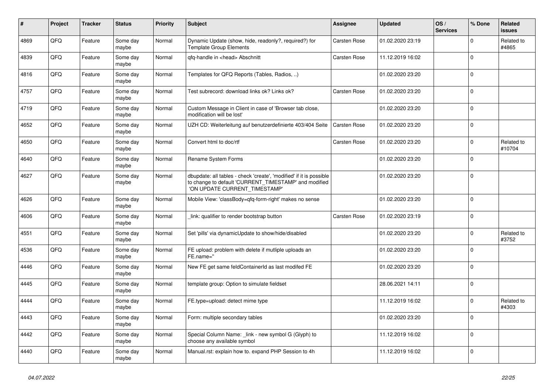| #    | Project | <b>Tracker</b> | <b>Status</b>     | <b>Priority</b> | <b>Subject</b>                                                                                                                                                | Assignee            | <b>Updated</b>   | OS/<br><b>Services</b> | % Done      | Related<br><b>issues</b> |
|------|---------|----------------|-------------------|-----------------|---------------------------------------------------------------------------------------------------------------------------------------------------------------|---------------------|------------------|------------------------|-------------|--------------------------|
| 4869 | QFQ     | Feature        | Some day<br>maybe | Normal          | Dynamic Update (show, hide, readonly?, required?) for<br><b>Template Group Elements</b>                                                                       | Carsten Rose        | 01.02.2020 23:19 |                        | $\Omega$    | Related to<br>#4865      |
| 4839 | QFQ     | Feature        | Some day<br>maybe | Normal          | gfg-handle in <head> Abschnitt</head>                                                                                                                         | <b>Carsten Rose</b> | 11.12.2019 16:02 |                        | $\mathbf 0$ |                          |
| 4816 | QFQ     | Feature        | Some day<br>maybe | Normal          | Templates for QFQ Reports (Tables, Radios, )                                                                                                                  |                     | 01.02.2020 23:20 |                        | $\Omega$    |                          |
| 4757 | QFQ     | Feature        | Some day<br>maybe | Normal          | Test subrecord: download links ok? Links ok?                                                                                                                  | Carsten Rose        | 01.02.2020 23:20 |                        | $\mathbf 0$ |                          |
| 4719 | QFQ     | Feature        | Some day<br>maybe | Normal          | Custom Message in Client in case of 'Browser tab close,<br>modification will be lost'                                                                         |                     | 01.02.2020 23:20 |                        | $\mathbf 0$ |                          |
| 4652 | QFQ     | Feature        | Some day<br>maybe | Normal          | UZH CD: Weiterleitung auf benutzerdefinierte 403/404 Seite                                                                                                    | Carsten Rose        | 01.02.2020 23:20 |                        | $\Omega$    |                          |
| 4650 | QFQ     | Feature        | Some day<br>maybe | Normal          | Convert html to doc/rtf                                                                                                                                       | <b>Carsten Rose</b> | 01.02.2020 23:20 |                        | $\Omega$    | Related to<br>#10704     |
| 4640 | QFQ     | Feature        | Some day<br>maybe | Normal          | <b>Rename System Forms</b>                                                                                                                                    |                     | 01.02.2020 23:20 |                        | $\Omega$    |                          |
| 4627 | QFQ     | Feature        | Some day<br>maybe | Normal          | dbupdate: all tables - check 'create', 'modified' if it is possible<br>to change to default 'CURRENT_TIMESTAMP' and modified<br>'ON UPDATE CURRENT_TIMESTAMP' |                     | 01.02.2020 23:20 |                        | $\Omega$    |                          |
| 4626 | QFQ     | Feature        | Some day<br>maybe | Normal          | Mobile View: 'classBody=qfq-form-right' makes no sense                                                                                                        |                     | 01.02.2020 23:20 |                        | $\Omega$    |                          |
| 4606 | QFQ     | Feature        | Some day<br>maybe | Normal          | link: qualifier to render bootstrap button                                                                                                                    | <b>Carsten Rose</b> | 01.02.2020 23:19 |                        | $\mathbf 0$ |                          |
| 4551 | QFQ     | Feature        | Some day<br>maybe | Normal          | Set 'pills' via dynamicUpdate to show/hide/disabled                                                                                                           |                     | 01.02.2020 23:20 |                        | $\Omega$    | Related to<br>#3752      |
| 4536 | QFQ     | Feature        | Some day<br>maybe | Normal          | FE upload: problem with delete if mutliple uploads an<br>FE.name="                                                                                            |                     | 01.02.2020 23:20 |                        | $\Omega$    |                          |
| 4446 | QFQ     | Feature        | Some day<br>maybe | Normal          | New FE get same feldContainerId as last modifed FE                                                                                                            |                     | 01.02.2020 23:20 |                        | $\mathbf 0$ |                          |
| 4445 | QFQ     | Feature        | Some day<br>maybe | Normal          | template group: Option to simulate fieldset                                                                                                                   |                     | 28.06.2021 14:11 |                        | $\mathbf 0$ |                          |
| 4444 | QFQ     | Feature        | Some day<br>maybe | Normal          | FE.type=upload: detect mime type                                                                                                                              |                     | 11.12.2019 16:02 |                        | $\mathbf 0$ | Related to<br>#4303      |
| 4443 | QFQ     | Feature        | Some day<br>maybe | Normal          | Form: multiple secondary tables                                                                                                                               |                     | 01.02.2020 23:20 |                        | $\Omega$    |                          |
| 4442 | QFQ     | Feature        | Some day<br>maybe | Normal          | Special Column Name: link - new symbol G (Glyph) to<br>choose any available symbol                                                                            |                     | 11.12.2019 16:02 |                        | $\Omega$    |                          |
| 4440 | QFQ     | Feature        | Some day<br>maybe | Normal          | Manual.rst: explain how to. expand PHP Session to 4h                                                                                                          |                     | 11.12.2019 16:02 |                        | $\Omega$    |                          |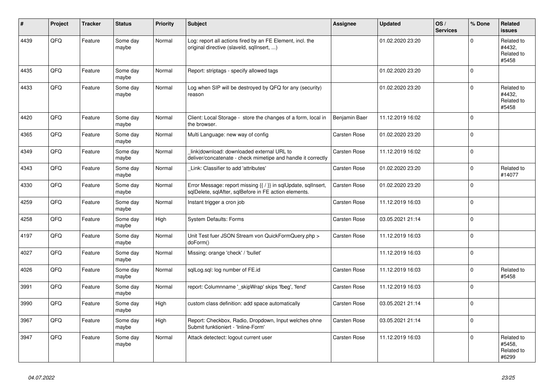| #    | Project | <b>Tracker</b> | <b>Status</b>     | <b>Priority</b> | <b>Subject</b>                                                                                                          | <b>Assignee</b>     | <b>Updated</b>   | OS/<br><b>Services</b> | % Done         | <b>Related</b><br><b>issues</b>             |
|------|---------|----------------|-------------------|-----------------|-------------------------------------------------------------------------------------------------------------------------|---------------------|------------------|------------------------|----------------|---------------------------------------------|
| 4439 | QFQ     | Feature        | Some day<br>maybe | Normal          | Log: report all actions fired by an FE Element, incl. the<br>original directive (slaveld, sqllnsert, )                  |                     | 01.02.2020 23:20 |                        | $\Omega$       | Related to<br>#4432,<br>Related to<br>#5458 |
| 4435 | QFQ     | Feature        | Some day<br>maybe | Normal          | Report: striptags - specify allowed tags                                                                                |                     | 01.02.2020 23:20 |                        | $\Omega$       |                                             |
| 4433 | QFQ     | Feature        | Some day<br>maybe | Normal          | Log when SIP will be destroyed by QFQ for any (security)<br>reason                                                      |                     | 01.02.2020 23:20 |                        | $\mathbf 0$    | Related to<br>#4432,<br>Related to<br>#5458 |
| 4420 | QFQ     | Feature        | Some dav<br>maybe | Normal          | Client: Local Storage - store the changes of a form, local in<br>the browser.                                           | Benjamin Baer       | 11.12.2019 16:02 |                        | $\Omega$       |                                             |
| 4365 | QFQ     | Feature        | Some day<br>maybe | Normal          | Multi Language: new way of config                                                                                       | <b>Carsten Rose</b> | 01.02.2020 23:20 |                        | $\mathbf{0}$   |                                             |
| 4349 | QFQ     | Feature        | Some day<br>maybe | Normal          | link download: downloaded external URL to<br>deliver/concatenate - check mimetipe and handle it correctly               | <b>Carsten Rose</b> | 11.12.2019 16:02 |                        | $\Omega$       |                                             |
| 4343 | QFQ     | Feature        | Some day<br>maybe | Normal          | Link: Classifier to add 'attributes'                                                                                    | <b>Carsten Rose</b> | 01.02.2020 23:20 |                        | $\overline{0}$ | Related to<br>#14077                        |
| 4330 | QFQ     | Feature        | Some day<br>maybe | Normal          | Error Message: report missing {{ / }} in sqlUpdate, sqlInsert,<br>sqlDelete, sqlAfter, sqlBefore in FE action elements. | <b>Carsten Rose</b> | 01.02.2020 23:20 |                        | $\Omega$       |                                             |
| 4259 | QFQ     | Feature        | Some day<br>maybe | Normal          | Instant trigger a cron job                                                                                              | Carsten Rose        | 11.12.2019 16:03 |                        | $\mathbf{0}$   |                                             |
| 4258 | QFQ     | Feature        | Some day<br>maybe | High            | <b>System Defaults: Forms</b>                                                                                           | Carsten Rose        | 03.05.2021 21:14 |                        | $\overline{0}$ |                                             |
| 4197 | QFQ     | Feature        | Some day<br>maybe | Normal          | Unit Test fuer JSON Stream von QuickFormQuery.php ><br>doForm()                                                         | Carsten Rose        | 11.12.2019 16:03 |                        | $\mathbf 0$    |                                             |
| 4027 | QFQ     | Feature        | Some day<br>maybe | Normal          | Missing: orange 'check' / 'bullet'                                                                                      |                     | 11.12.2019 16:03 |                        | $\mathbf{0}$   |                                             |
| 4026 | QFQ     | Feature        | Some day<br>maybe | Normal          | sqlLog.sql: log number of FE.id                                                                                         | Carsten Rose        | 11.12.2019 16:03 |                        | $\mathbf{0}$   | Related to<br>#5458                         |
| 3991 | QFQ     | Feature        | Some day<br>maybe | Normal          | report: Columnname '_skipWrap' skips 'fbeg', 'fend'                                                                     | <b>Carsten Rose</b> | 11.12.2019 16:03 |                        | $\Omega$       |                                             |
| 3990 | QFQ     | Feature        | Some day<br>maybe | High            | custom class definition: add space automatically                                                                        | <b>Carsten Rose</b> | 03.05.2021 21:14 |                        | $\Omega$       |                                             |
| 3967 | QFQ     | Feature        | Some day<br>maybe | High            | Report: Checkbox, Radio, Dropdown, Input welches ohne<br>Submit funktioniert - 'Inline-Form'                            | <b>Carsten Rose</b> | 03.05.2021 21:14 |                        | 0              |                                             |
| 3947 | QFQ     | Feature        | Some day<br>maybe | Normal          | Attack detectect: logout current user                                                                                   | <b>Carsten Rose</b> | 11.12.2019 16:03 |                        | $\mathbf 0$    | Related to<br>#5458,<br>Related to<br>#6299 |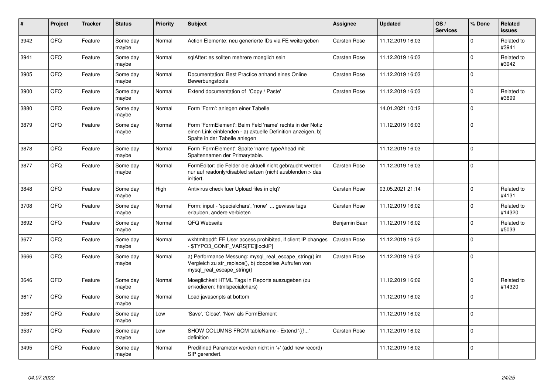| $\vert$ # | Project | <b>Tracker</b> | <b>Status</b>     | <b>Priority</b> | Subject                                                                                                                                                  | <b>Assignee</b>     | <b>Updated</b>   | OS/<br><b>Services</b> | % Done         | <b>Related</b><br><b>issues</b> |
|-----------|---------|----------------|-------------------|-----------------|----------------------------------------------------------------------------------------------------------------------------------------------------------|---------------------|------------------|------------------------|----------------|---------------------------------|
| 3942      | QFQ     | Feature        | Some day<br>maybe | Normal          | Action Elemente: neu generierte IDs via FE weitergeben                                                                                                   | <b>Carsten Rose</b> | 11.12.2019 16:03 |                        | $\mathbf 0$    | Related to<br>#3941             |
| 3941      | QFQ     | Feature        | Some day<br>maybe | Normal          | sqlAfter: es sollten mehrere moeglich sein                                                                                                               | <b>Carsten Rose</b> | 11.12.2019 16:03 |                        | $\mathbf 0$    | Related to<br>#3942             |
| 3905      | QFQ     | Feature        | Some day<br>maybe | Normal          | Documentation: Best Practice anhand eines Online<br>Bewerbungstools                                                                                      | <b>Carsten Rose</b> | 11.12.2019 16:03 |                        | $\Omega$       |                                 |
| 3900      | QFQ     | Feature        | Some day<br>maybe | Normal          | Extend documentation of 'Copy / Paste'                                                                                                                   | <b>Carsten Rose</b> | 11.12.2019 16:03 |                        | 0              | Related to<br>#3899             |
| 3880      | QFQ     | Feature        | Some day<br>maybe | Normal          | Form 'Form': anlegen einer Tabelle                                                                                                                       |                     | 14.01.2021 10:12 |                        | $\Omega$       |                                 |
| 3879      | QFQ     | Feature        | Some day<br>maybe | Normal          | Form 'FormElement': Beim Feld 'name' rechts in der Notiz<br>einen Link einblenden - a) aktuelle Definition anzeigen, b)<br>Spalte in der Tabelle anlegen |                     | 11.12.2019 16:03 |                        | $\Omega$       |                                 |
| 3878      | QFQ     | Feature        | Some day<br>maybe | Normal          | Form 'FormElement': Spalte 'name' typeAhead mit<br>Spaltennamen der Primarytable.                                                                        |                     | 11.12.2019 16:03 |                        | $\mathbf 0$    |                                 |
| 3877      | QFQ     | Feature        | Some day<br>maybe | Normal          | FormEditor: die Felder die aktuell nicht gebraucht werden<br>nur auf readonly/disabled setzen (nicht ausblenden > das<br>irritiert.                      | <b>Carsten Rose</b> | 11.12.2019 16:03 |                        | $\mathbf 0$    |                                 |
| 3848      | QFQ     | Feature        | Some day<br>maybe | High            | Antivirus check fuer Upload files in qfq?                                                                                                                | Carsten Rose        | 03.05.2021 21:14 |                        | $\mathbf 0$    | Related to<br>#4131             |
| 3708      | QFQ     | Feature        | Some day<br>maybe | Normal          | Form: input - 'specialchars', 'none'  gewisse tags<br>erlauben, andere verbieten                                                                         | <b>Carsten Rose</b> | 11.12.2019 16:02 |                        | $\overline{0}$ | Related to<br>#14320            |
| 3692      | QFQ     | Feature        | Some day<br>maybe | Normal          | QFQ Webseite                                                                                                                                             | Benjamin Baer       | 11.12.2019 16:02 |                        | $\mathbf 0$    | Related to<br>#5033             |
| 3677      | QFQ     | Feature        | Some dav<br>maybe | Normal          | wkhtmltopdf: FE User access prohibited, if client IP changes<br>- \$TYPO3_CONF_VARS[FE][lockIP]                                                          | <b>Carsten Rose</b> | 11.12.2019 16:02 |                        | $\mathbf 0$    |                                 |
| 3666      | QFQ     | Feature        | Some day<br>maybe | Normal          | a) Performance Messung: mysql_real_escape_string() im<br>Vergleich zu str replace(), b) doppeltes Aufrufen von<br>mysql_real_escape_string()             | Carsten Rose        | 11.12.2019 16:02 |                        | $\Omega$       |                                 |
| 3646      | QFQ     | Feature        | Some day<br>maybe | Normal          | Moeglichkeit HTML Tags in Reports auszugeben (zu<br>enkodieren: htmlspecialchars)                                                                        |                     | 11.12.2019 16:02 |                        | $\Omega$       | Related to<br>#14320            |
| 3617      | QFQ     | Feature        | Some day<br>maybe | Normal          | Load javascripts at bottom                                                                                                                               |                     | 11.12.2019 16:02 |                        | $\Omega$       |                                 |
| 3567      | QFQ     | Feature        | Some day<br>maybe | Low             | 'Save', 'Close', 'New' als FormElement                                                                                                                   |                     | 11.12.2019 16:02 |                        | $\Omega$       |                                 |
| 3537      | QFQ     | Feature        | Some day<br>maybe | Low             | SHOW COLUMNS FROM tableName - Extend '{{!'<br>definition                                                                                                 | Carsten Rose        | 11.12.2019 16:02 |                        | $\mathbf 0$    |                                 |
| 3495      | QFQ     | Feature        | Some day<br>maybe | Normal          | Predifined Parameter werden nicht in '+' (add new record)<br>SIP gerendert.                                                                              |                     | 11.12.2019 16:02 |                        | $\overline{0}$ |                                 |